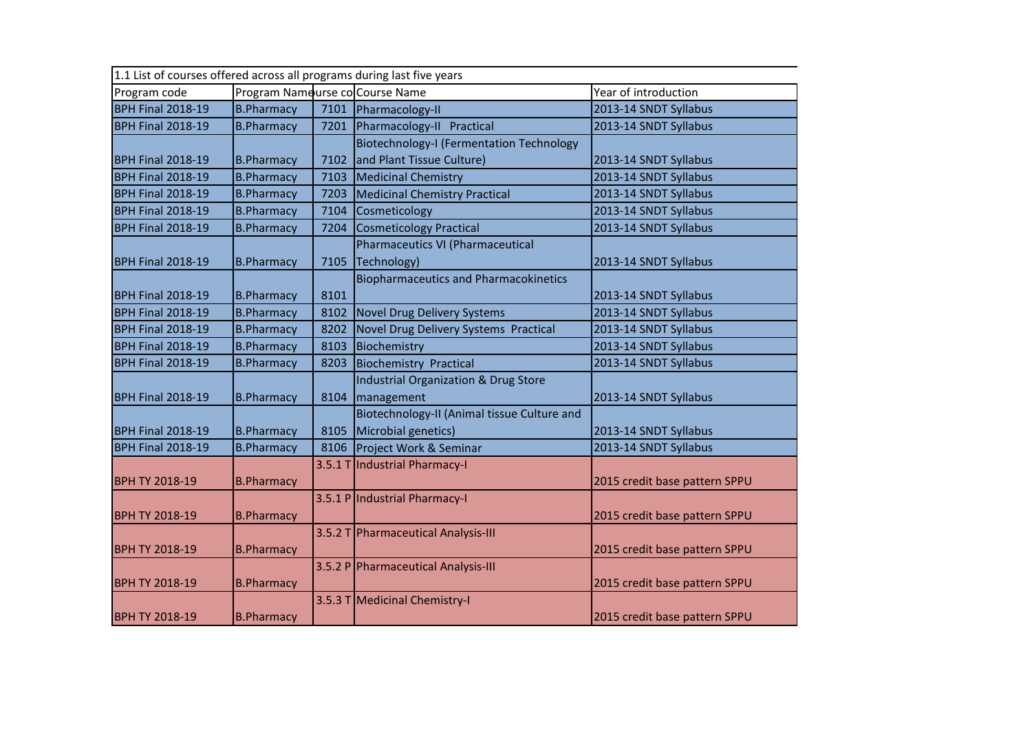| 1.1 List of courses offered across all programs during last five years |                                 |      |                                              |                               |  |
|------------------------------------------------------------------------|---------------------------------|------|----------------------------------------------|-------------------------------|--|
| Program code                                                           | Program Nameurse co Course Name |      |                                              | Year of introduction          |  |
| <b>BPH Final 2018-19</b>                                               | <b>B.Pharmacy</b>               |      | 7101 Pharmacology-II                         | 2013-14 SNDT Syllabus         |  |
| <b>BPH Final 2018-19</b>                                               | <b>B.Pharmacy</b>               | 7201 | Pharmacology-II Practical                    | 2013-14 SNDT Syllabus         |  |
|                                                                        |                                 |      | Biotechnology-I (Fermentation Technology     |                               |  |
| <b>BPH Final 2018-19</b>                                               | <b>B.Pharmacy</b>               | 7102 | and Plant Tissue Culture)                    | 2013-14 SNDT Syllabus         |  |
| <b>BPH Final 2018-19</b>                                               | <b>B.Pharmacy</b>               | 7103 | <b>Medicinal Chemistry</b>                   | 2013-14 SNDT Syllabus         |  |
| <b>BPH Final 2018-19</b>                                               | <b>B.Pharmacy</b>               | 7203 | <b>Medicinal Chemistry Practical</b>         | 2013-14 SNDT Syllabus         |  |
| <b>BPH Final 2018-19</b>                                               | <b>B.Pharmacy</b>               | 7104 | Cosmeticology                                | 2013-14 SNDT Syllabus         |  |
| <b>BPH Final 2018-19</b>                                               | <b>B.Pharmacy</b>               | 7204 | <b>Cosmeticology Practical</b>               | 2013-14 SNDT Syllabus         |  |
|                                                                        |                                 |      | <b>Pharmaceutics VI (Pharmaceutical</b>      |                               |  |
| <b>BPH Final 2018-19</b>                                               | <b>B.Pharmacy</b>               | 7105 | Technology)                                  | 2013-14 SNDT Syllabus         |  |
|                                                                        |                                 |      | <b>Biopharmaceutics and Pharmacokinetics</b> |                               |  |
| <b>BPH Final 2018-19</b>                                               | <b>B.Pharmacy</b>               | 8101 |                                              | 2013-14 SNDT Syllabus         |  |
| <b>BPH Final 2018-19</b>                                               | <b>B.Pharmacy</b>               | 8102 | <b>Novel Drug Delivery Systems</b>           | 2013-14 SNDT Syllabus         |  |
| <b>BPH Final 2018-19</b>                                               | <b>B.Pharmacy</b>               | 8202 | Novel Drug Delivery Systems Practical        | 2013-14 SNDT Syllabus         |  |
| <b>BPH Final 2018-19</b>                                               | <b>B.Pharmacy</b>               | 8103 | Biochemistry                                 | 2013-14 SNDT Syllabus         |  |
| <b>BPH Final 2018-19</b>                                               | <b>B.Pharmacy</b>               | 8203 | <b>Biochemistry Practical</b>                | 2013-14 SNDT Syllabus         |  |
|                                                                        |                                 |      | Industrial Organization & Drug Store         |                               |  |
| <b>BPH Final 2018-19</b>                                               | <b>B.Pharmacy</b>               | 8104 | management                                   | 2013-14 SNDT Syllabus         |  |
|                                                                        |                                 |      | Biotechnology-II (Animal tissue Culture and  |                               |  |
| <b>BPH Final 2018-19</b>                                               | <b>B.Pharmacy</b>               | 8105 | Microbial genetics)                          | 2013-14 SNDT Syllabus         |  |
| <b>BPH Final 2018-19</b>                                               | <b>B.Pharmacy</b>               |      | 8106 Project Work & Seminar                  | 2013-14 SNDT Syllabus         |  |
|                                                                        |                                 |      | 3.5.1 T Industrial Pharmacy-I                |                               |  |
| <b>BPH TY 2018-19</b>                                                  | <b>B.Pharmacy</b>               |      |                                              | 2015 credit base pattern SPPU |  |
|                                                                        |                                 |      | 3.5.1 P Industrial Pharmacy-I                |                               |  |
| <b>BPH TY 2018-19</b>                                                  | <b>B.Pharmacy</b>               |      |                                              | 2015 credit base pattern SPPU |  |
|                                                                        |                                 |      | 3.5.2 T Pharmaceutical Analysis-III          |                               |  |
| <b>BPH TY 2018-19</b>                                                  | <b>B.Pharmacy</b>               |      |                                              | 2015 credit base pattern SPPU |  |
|                                                                        |                                 |      | 3.5.2 P Pharmaceutical Analysis-III          |                               |  |
| <b>BPH TY 2018-19</b>                                                  | <b>B.Pharmacy</b>               |      |                                              | 2015 credit base pattern SPPU |  |
|                                                                        |                                 |      | 3.5.3 T Medicinal Chemistry-I                |                               |  |
| <b>BPH TY 2018-19</b>                                                  | <b>B.Pharmacy</b>               |      |                                              | 2015 credit base pattern SPPU |  |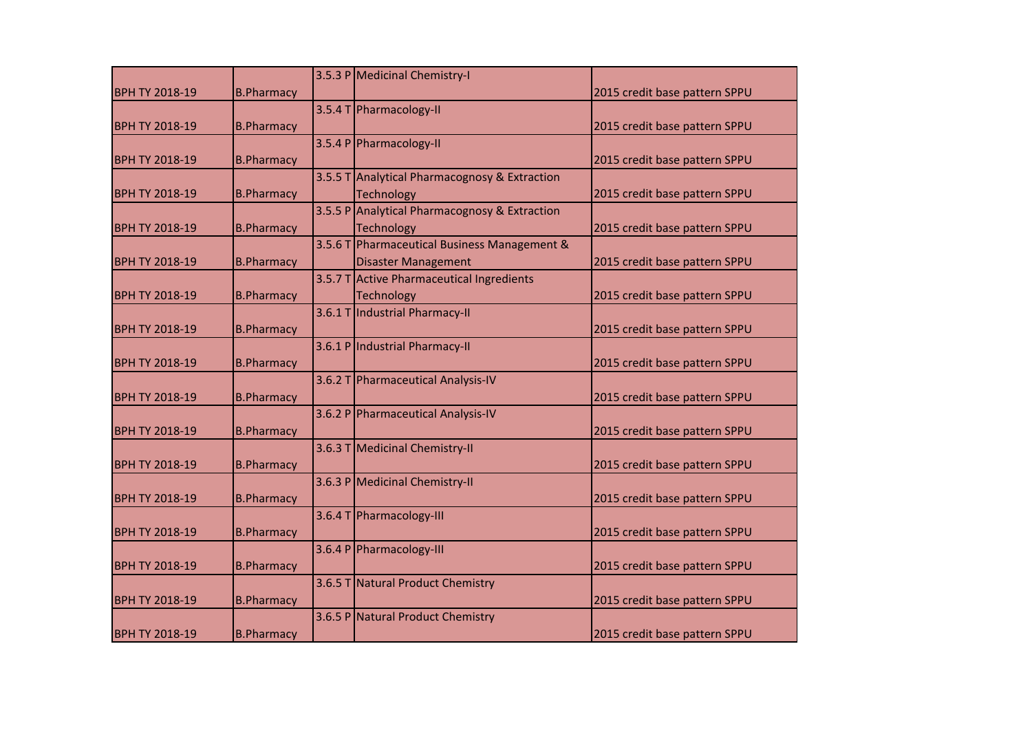|                       |                   |        | 3.5.3 P Medicinal Chemistry-I                 |                               |
|-----------------------|-------------------|--------|-----------------------------------------------|-------------------------------|
| <b>BPH TY 2018-19</b> | <b>B.Pharmacy</b> |        |                                               | 2015 credit base pattern SPPU |
|                       |                   |        | 3.5.4 T Pharmacology-II                       |                               |
| <b>BPH TY 2018-19</b> | <b>B.Pharmacy</b> |        |                                               | 2015 credit base pattern SPPU |
|                       |                   |        | 3.5.4 P Pharmacology-II                       |                               |
| <b>BPH TY 2018-19</b> | <b>B.Pharmacy</b> |        |                                               | 2015 credit base pattern SPPU |
|                       |                   |        | 3.5.5 T Analytical Pharmacognosy & Extraction |                               |
| <b>BPH TY 2018-19</b> | <b>B.Pharmacy</b> |        | Technology                                    | 2015 credit base pattern SPPU |
|                       |                   |        | 3.5.5 P Analytical Pharmacognosy & Extraction |                               |
| <b>BPH TY 2018-19</b> | <b>B.Pharmacy</b> |        | <b>Technology</b>                             | 2015 credit base pattern SPPU |
|                       |                   | 3.5.6T | Pharmaceutical Business Management &          |                               |
| <b>BPH TY 2018-19</b> | <b>B.Pharmacy</b> |        | <b>Disaster Management</b>                    | 2015 credit base pattern SPPU |
|                       |                   |        | 3.5.7 T Active Pharmaceutical Ingredients     |                               |
| <b>BPH TY 2018-19</b> | <b>B.Pharmacy</b> |        | <b>Technology</b>                             | 2015 credit base pattern SPPU |
|                       |                   |        | 3.6.1 T Industrial Pharmacy-II                |                               |
| <b>BPH TY 2018-19</b> | <b>B.Pharmacy</b> |        |                                               | 2015 credit base pattern SPPU |
|                       |                   |        | 3.6.1 P Industrial Pharmacy-II                |                               |
| <b>BPH TY 2018-19</b> | <b>B.Pharmacy</b> |        |                                               | 2015 credit base pattern SPPU |
|                       |                   |        | 3.6.2 T Pharmaceutical Analysis-IV            |                               |
| <b>BPH TY 2018-19</b> | <b>B.Pharmacy</b> |        |                                               | 2015 credit base pattern SPPU |
|                       |                   |        | 3.6.2 P Pharmaceutical Analysis-IV            |                               |
| <b>BPH TY 2018-19</b> | <b>B.Pharmacy</b> |        |                                               | 2015 credit base pattern SPPU |
|                       |                   |        | 3.6.3 T Medicinal Chemistry-II                |                               |
| <b>BPH TY 2018-19</b> | <b>B.Pharmacy</b> |        |                                               | 2015 credit base pattern SPPU |
|                       |                   |        | 3.6.3 P Medicinal Chemistry-II                |                               |
| <b>BPH TY 2018-19</b> | <b>B.Pharmacy</b> |        |                                               | 2015 credit base pattern SPPU |
|                       |                   |        | 3.6.4 T Pharmacology-III                      |                               |
| <b>BPH TY 2018-19</b> | <b>B.Pharmacy</b> |        |                                               | 2015 credit base pattern SPPU |
|                       |                   |        | 3.6.4 P Pharmacology-III                      |                               |
| <b>BPH TY 2018-19</b> | <b>B.Pharmacy</b> |        |                                               | 2015 credit base pattern SPPU |
|                       |                   |        | 3.6.5 T Natural Product Chemistry             |                               |
| <b>BPH TY 2018-19</b> | <b>B.Pharmacy</b> |        |                                               | 2015 credit base pattern SPPU |
|                       |                   |        | 3.6.5 P Natural Product Chemistry             |                               |
| <b>BPH TY 2018-19</b> | <b>B.Pharmacy</b> |        |                                               | 2015 credit base pattern SPPU |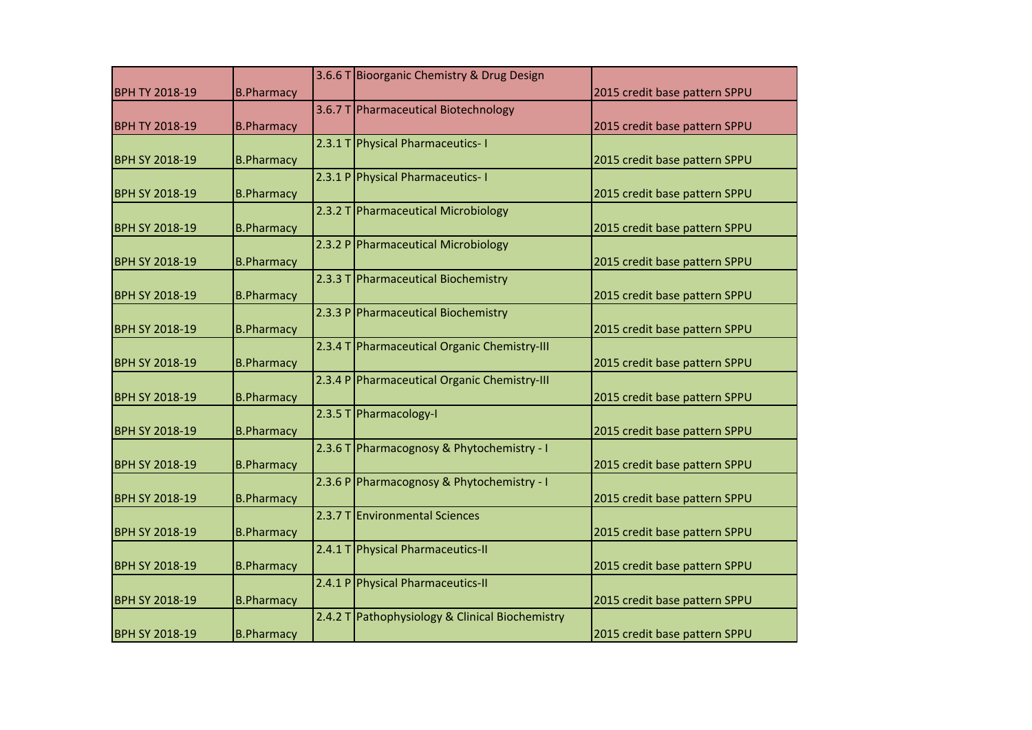|                       |                   | 3.6.6 T Bioorganic Chemistry & Drug Design      |                               |
|-----------------------|-------------------|-------------------------------------------------|-------------------------------|
| <b>BPH TY 2018-19</b> | <b>B.Pharmacy</b> |                                                 | 2015 credit base pattern SPPU |
|                       |                   | 3.6.7 T Pharmaceutical Biotechnology            |                               |
| <b>BPH TY 2018-19</b> | <b>B.Pharmacy</b> |                                                 | 2015 credit base pattern SPPU |
|                       |                   | 2.3.1 T Physical Pharmaceutics- I               |                               |
| <b>BPH SY 2018-19</b> | <b>B.Pharmacy</b> |                                                 | 2015 credit base pattern SPPU |
|                       |                   | 2.3.1 P Physical Pharmaceutics-1                |                               |
| <b>BPH SY 2018-19</b> | <b>B.Pharmacy</b> |                                                 | 2015 credit base pattern SPPU |
|                       |                   | 2.3.2 T Pharmaceutical Microbiology             |                               |
| <b>BPH SY 2018-19</b> | <b>B.Pharmacy</b> |                                                 | 2015 credit base pattern SPPU |
|                       |                   | 2.3.2 P Pharmaceutical Microbiology             |                               |
| <b>BPH SY 2018-19</b> | <b>B.Pharmacy</b> |                                                 | 2015 credit base pattern SPPU |
|                       |                   | 2.3.3 T Pharmaceutical Biochemistry             |                               |
| <b>BPH SY 2018-19</b> | <b>B.Pharmacy</b> |                                                 | 2015 credit base pattern SPPU |
|                       |                   | 2.3.3 P Pharmaceutical Biochemistry             |                               |
| <b>BPH SY 2018-19</b> | <b>B.Pharmacy</b> |                                                 | 2015 credit base pattern SPPU |
|                       |                   | 2.3.4 T Pharmaceutical Organic Chemistry-III    |                               |
| <b>BPH SY 2018-19</b> | <b>B.Pharmacy</b> |                                                 | 2015 credit base pattern SPPU |
|                       |                   | 2.3.4 P Pharmaceutical Organic Chemistry-III    |                               |
| <b>BPH SY 2018-19</b> | <b>B.Pharmacy</b> |                                                 | 2015 credit base pattern SPPU |
|                       |                   | 2.3.5 T Pharmacology-I                          |                               |
| <b>BPH SY 2018-19</b> | <b>B.Pharmacy</b> |                                                 | 2015 credit base pattern SPPU |
|                       |                   | 2.3.6 T Pharmacognosy & Phytochemistry - I      |                               |
| <b>BPH SY 2018-19</b> | <b>B.Pharmacy</b> |                                                 | 2015 credit base pattern SPPU |
|                       |                   |                                                 |                               |
|                       |                   | 2.3.6 P Pharmacognosy & Phytochemistry - I      |                               |
| <b>BPH SY 2018-19</b> | <b>B.Pharmacy</b> |                                                 | 2015 credit base pattern SPPU |
|                       |                   | 2.3.7 T Environmental Sciences                  |                               |
| <b>BPH SY 2018-19</b> | <b>B.Pharmacy</b> |                                                 | 2015 credit base pattern SPPU |
|                       |                   | 2.4.1 T Physical Pharmaceutics-II               |                               |
| <b>BPH SY 2018-19</b> | <b>B.Pharmacy</b> |                                                 | 2015 credit base pattern SPPU |
|                       |                   | 2.4.1 P Physical Pharmaceutics-II               |                               |
| <b>BPH SY 2018-19</b> | <b>B.Pharmacy</b> |                                                 | 2015 credit base pattern SPPU |
|                       |                   | 2.4.2 T Pathophysiology & Clinical Biochemistry |                               |
| <b>BPH SY 2018-19</b> | <b>B.Pharmacy</b> |                                                 | 2015 credit base pattern SPPU |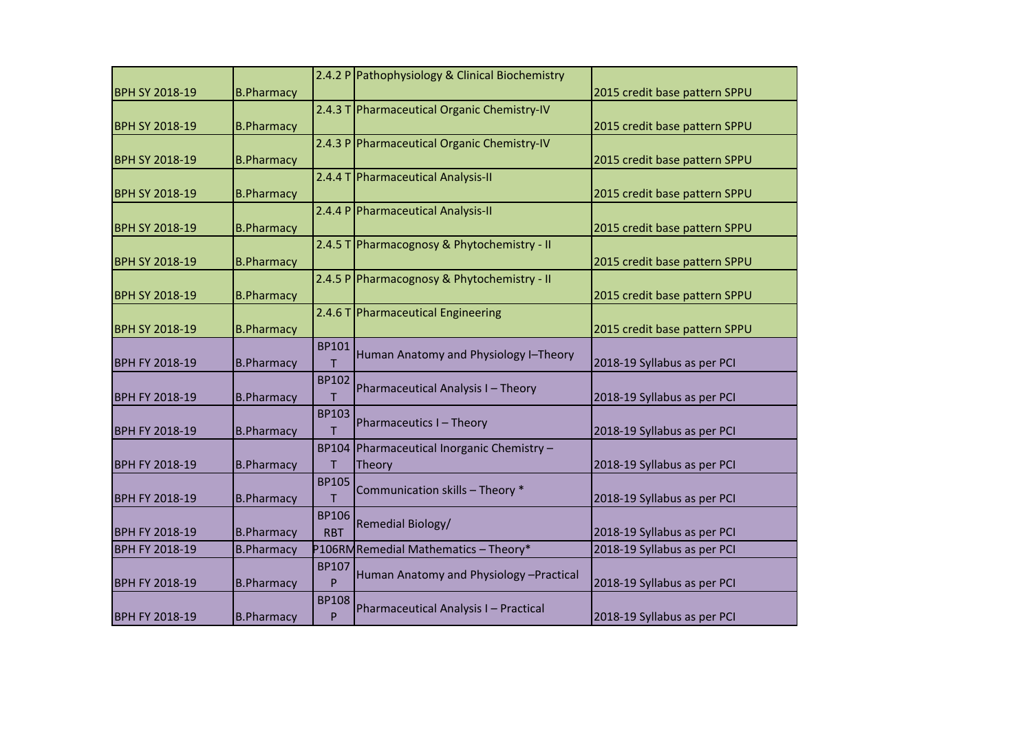| <b>BPH SY 2018-19</b> | <b>B.Pharmacy</b> |                            | 2.4.2 P Pathophysiology & Clinical Biochemistry       | 2015 credit base pattern SPPU |
|-----------------------|-------------------|----------------------------|-------------------------------------------------------|-------------------------------|
| <b>BPH SY 2018-19</b> | <b>B.Pharmacy</b> |                            | 2.4.3 T Pharmaceutical Organic Chemistry-IV           | 2015 credit base pattern SPPU |
| <b>BPH SY 2018-19</b> | <b>B.Pharmacy</b> |                            | 2.4.3 P Pharmaceutical Organic Chemistry-IV           | 2015 credit base pattern SPPU |
| <b>BPH SY 2018-19</b> | <b>B.Pharmacy</b> |                            | 2.4.4 T Pharmaceutical Analysis-II                    | 2015 credit base pattern SPPU |
| <b>BPH SY 2018-19</b> | <b>B.Pharmacy</b> |                            | 2.4.4 P Pharmaceutical Analysis-II                    | 2015 credit base pattern SPPU |
| <b>BPH SY 2018-19</b> | <b>B.Pharmacy</b> |                            | 2.4.5 T Pharmacognosy & Phytochemistry - II           | 2015 credit base pattern SPPU |
| <b>BPH SY 2018-19</b> | <b>B.Pharmacy</b> |                            | 2.4.5 P Pharmacognosy & Phytochemistry - II           | 2015 credit base pattern SPPU |
| <b>BPH SY 2018-19</b> | <b>B.Pharmacy</b> |                            | 2.4.6 T Pharmaceutical Engineering                    | 2015 credit base pattern SPPU |
| <b>BPH FY 2018-19</b> | <b>B.Pharmacy</b> | <b>BP101</b><br>т          | Human Anatomy and Physiology I-Theory                 | 2018-19 Syllabus as per PCI   |
| <b>BPH FY 2018-19</b> | <b>B.Pharmacy</b> | <b>BP102</b><br>т          | Pharmaceutical Analysis I - Theory                    | 2018-19 Syllabus as per PCI   |
| <b>BPH FY 2018-19</b> | <b>B.Pharmacy</b> | <b>BP103</b><br>T          | Pharmaceutics I - Theory                              | 2018-19 Syllabus as per PCI   |
| <b>BPH FY 2018-19</b> | <b>B.Pharmacy</b> | <b>BP104</b><br>т          | Pharmaceutical Inorganic Chemistry -<br><b>Theory</b> | 2018-19 Syllabus as per PCI   |
| <b>BPH FY 2018-19</b> | <b>B.Pharmacy</b> | <b>BP105</b>               | Communication skills - Theory *                       | 2018-19 Syllabus as per PCI   |
| <b>BPH FY 2018-19</b> | <b>B.Pharmacy</b> | <b>BP106</b><br><b>RBT</b> | Remedial Biology/                                     | 2018-19 Syllabus as per PCI   |
| <b>BPH FY 2018-19</b> | <b>B.Pharmacy</b> |                            | P106RMRemedial Mathematics - Theory*                  | 2018-19 Syllabus as per PCI   |
| <b>BPH FY 2018-19</b> | <b>B.Pharmacy</b> | <b>BP107</b><br>P          | Human Anatomy and Physiology - Practical              | 2018-19 Syllabus as per PCI   |
| <b>BPH FY 2018-19</b> | <b>B.Pharmacy</b> | <b>BP108</b><br>P          | Pharmaceutical Analysis I - Practical                 | 2018-19 Syllabus as per PCI   |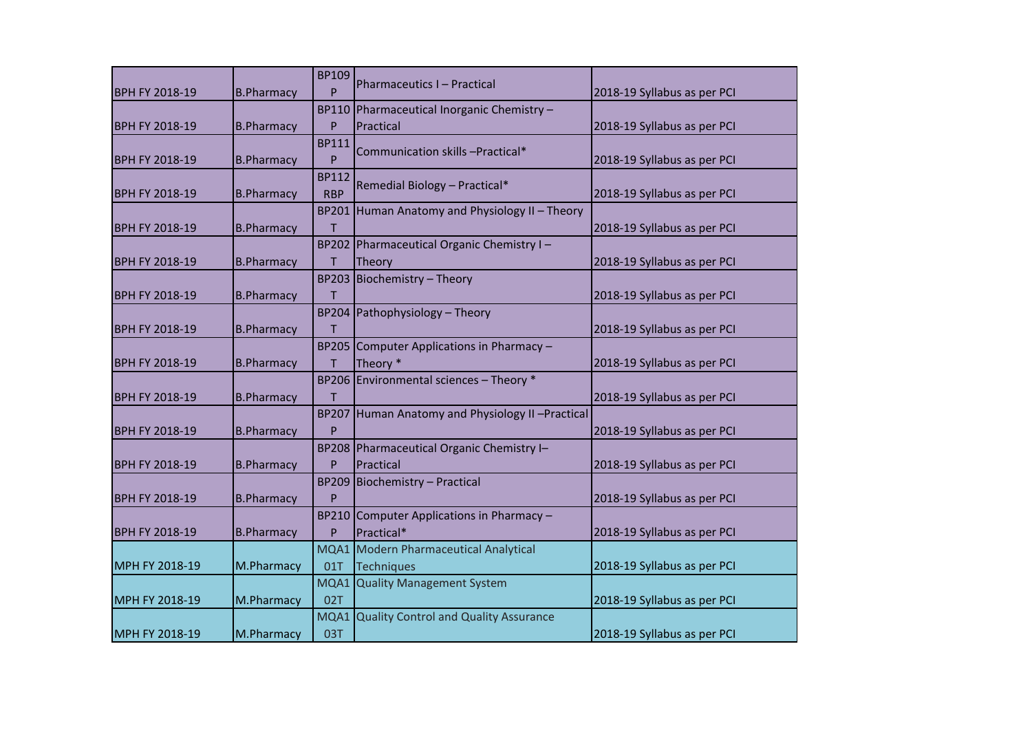| <b>BPH FY 2018-19</b> | <b>B.Pharmacy</b> | <b>BP109</b><br>P          | Pharmaceutics I - Practical                            | 2018-19 Syllabus as per PCI |
|-----------------------|-------------------|----------------------------|--------------------------------------------------------|-----------------------------|
| <b>BPH FY 2018-19</b> | <b>B.Pharmacy</b> | <b>BP110</b><br>P          | Pharmaceutical Inorganic Chemistry -<br>Practical      | 2018-19 Syllabus as per PCI |
| <b>BPH FY 2018-19</b> | <b>B.Pharmacy</b> | <b>BP111</b><br>P          | Communication skills -Practical*                       | 2018-19 Syllabus as per PCI |
| BPH FY 2018-19        | <b>B.Pharmacy</b> | <b>BP112</b><br><b>RBP</b> | Remedial Biology - Practical*                          | 2018-19 Syllabus as per PCI |
| <b>BPH FY 2018-19</b> | <b>B.Pharmacy</b> | <b>BP201</b><br>T          | Human Anatomy and Physiology II - Theory               | 2018-19 Syllabus as per PCI |
| <b>BPH FY 2018-19</b> | <b>B.Pharmacy</b> | <b>BP202</b><br>т          | Pharmaceutical Organic Chemistry I-<br>Theory          | 2018-19 Syllabus as per PCI |
| <b>BPH FY 2018-19</b> | <b>B.Pharmacy</b> | <b>BP203</b><br>т          | Biochemistry - Theory                                  | 2018-19 Syllabus as per PCI |
| <b>BPH FY 2018-19</b> | <b>B.Pharmacy</b> | <b>BP204</b><br>т          | Pathophysiology - Theory                               | 2018-19 Syllabus as per PCI |
| <b>BPH FY 2018-19</b> | <b>B.Pharmacy</b> | <b>BP205</b><br>т          | Computer Applications in Pharmacy -<br>Theory *        | 2018-19 Syllabus as per PCI |
| <b>BPH FY 2018-19</b> | <b>B.Pharmacy</b> | T                          | BP206 Environmental sciences - Theory *                | 2018-19 Syllabus as per PCI |
| <b>BPH FY 2018-19</b> | <b>B.Pharmacy</b> | <b>BP207</b><br>P          | Human Anatomy and Physiology II -Practical             | 2018-19 Syllabus as per PCI |
| <b>BPH FY 2018-19</b> | <b>B.Pharmacy</b> | P                          | BP208 Pharmaceutical Organic Chemistry I-<br>Practical | 2018-19 Syllabus as per PCI |
| <b>BPH FY 2018-19</b> | <b>B.Pharmacy</b> | <b>BP209</b><br>P          | Biochemistry - Practical                               | 2018-19 Syllabus as per PCI |
| <b>BPH FY 2018-19</b> | <b>B.Pharmacy</b> | <b>BP210</b><br>P          | Computer Applications in Pharmacy -<br>Practical*      | 2018-19 Syllabus as per PCI |
| MPH FY 2018-19        | M.Pharmacy        | MQA1<br>01T                | Modern Pharmaceutical Analytical<br><b>Techniques</b>  | 2018-19 Syllabus as per PCI |
| MPH FY 2018-19        | M.Pharmacy        | MQA1<br>02T                | <b>Quality Management System</b>                       | 2018-19 Syllabus as per PCI |
| MPH FY 2018-19        | M.Pharmacy        | MQA1<br>03T                | <b>Quality Control and Quality Assurance</b>           | 2018-19 Syllabus as per PCI |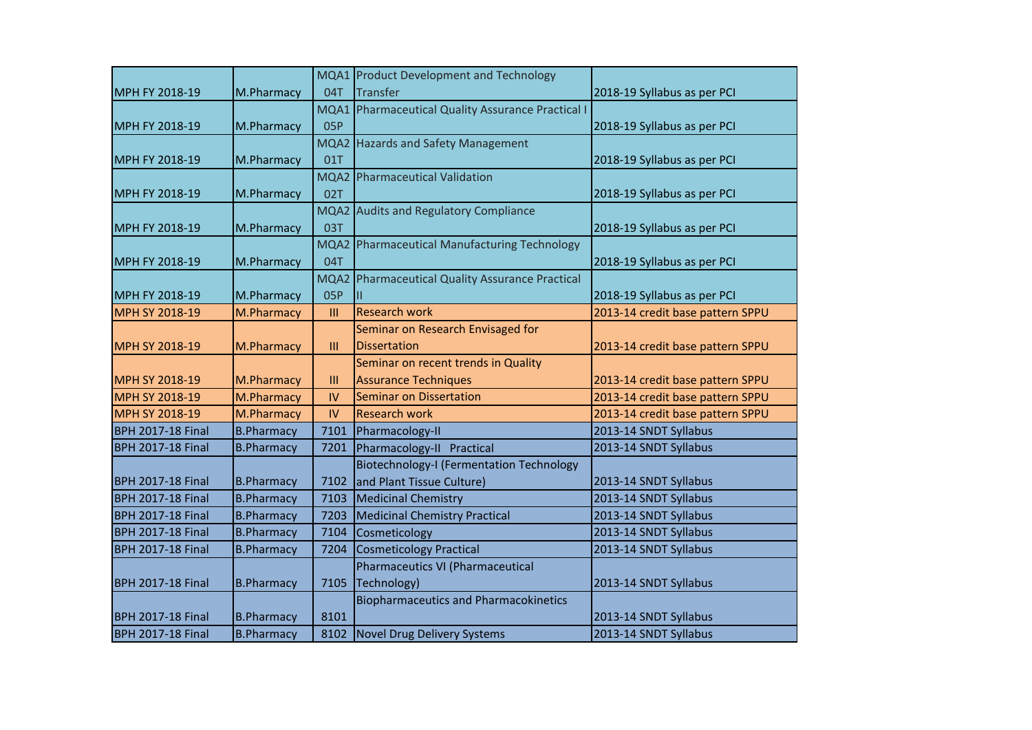|                          |                   |            | MQA1 Product Development and Technology             |                                  |
|--------------------------|-------------------|------------|-----------------------------------------------------|----------------------------------|
| MPH FY 2018-19           | M.Pharmacy        | 04T        | <b>Transfer</b>                                     | 2018-19 Syllabus as per PCI      |
|                          |                   | MQA1       | <b>Pharmaceutical Quality Assurance Practical I</b> |                                  |
| MPH FY 2018-19           | M.Pharmacy        | <b>05P</b> |                                                     | 2018-19 Syllabus as per PCI      |
|                          |                   | MQA2       | <b>Hazards and Safety Management</b>                |                                  |
| MPH FY 2018-19           | M.Pharmacy        | 01T        |                                                     | 2018-19 Syllabus as per PCI      |
|                          |                   | MQA2       | <b>Pharmaceutical Validation</b>                    |                                  |
| MPH FY 2018-19           | M.Pharmacy        | 02T        |                                                     | 2018-19 Syllabus as per PCI      |
|                          |                   | MQA2       | <b>Audits and Regulatory Compliance</b>             |                                  |
| MPH FY 2018-19           | M.Pharmacy        | 03T        |                                                     | 2018-19 Syllabus as per PCI      |
|                          |                   | MQA2       | Pharmaceutical Manufacturing Technology             |                                  |
| MPH FY 2018-19           | M.Pharmacy        | 04T        |                                                     | 2018-19 Syllabus as per PCI      |
|                          |                   | MQA2       | Pharmaceutical Quality Assurance Practical          |                                  |
| MPH FY 2018-19           | M.Pharmacy        | 05P        |                                                     | 2018-19 Syllabus as per PCI      |
| MPH SY 2018-19           | M.Pharmacy        | III        | <b>Research work</b>                                | 2013-14 credit base pattern SPPU |
|                          |                   |            | Seminar on Research Envisaged for                   |                                  |
| MPH SY 2018-19           | M.Pharmacy        | III        | <b>Dissertation</b>                                 | 2013-14 credit base pattern SPPU |
|                          |                   |            | Seminar on recent trends in Quality                 |                                  |
| <b>MPH SY 2018-19</b>    | M.Pharmacy        | III        | <b>Assurance Techniques</b>                         | 2013-14 credit base pattern SPPU |
| MPH SY 2018-19           | M.Pharmacy        | IV         | <b>Seminar on Dissertation</b>                      | 2013-14 credit base pattern SPPU |
| MPH SY 2018-19           | M.Pharmacy        | IV         | <b>Research work</b>                                | 2013-14 credit base pattern SPPU |
| <b>BPH 2017-18 Final</b> | <b>B.Pharmacy</b> | 7101       | Pharmacology-II                                     | 2013-14 SNDT Syllabus            |
| <b>BPH 2017-18 Final</b> | <b>B.Pharmacy</b> | 7201       | Pharmacology-II Practical                           | 2013-14 SNDT Syllabus            |
|                          |                   |            | <b>Biotechnology-I (Fermentation Technology</b>     |                                  |
| <b>BPH 2017-18 Final</b> | <b>B.Pharmacy</b> | 7102       | and Plant Tissue Culture)                           | 2013-14 SNDT Syllabus            |
| <b>BPH 2017-18 Final</b> | <b>B.Pharmacy</b> | 7103       | <b>Medicinal Chemistry</b>                          | 2013-14 SNDT Syllabus            |
| <b>BPH 2017-18 Final</b> | <b>B.Pharmacy</b> | 7203       | <b>Medicinal Chemistry Practical</b>                | 2013-14 SNDT Syllabus            |
| <b>BPH 2017-18 Final</b> | <b>B.Pharmacy</b> | 7104       | Cosmeticology                                       | 2013-14 SNDT Syllabus            |
| <b>BPH 2017-18 Final</b> | <b>B.Pharmacy</b> | 7204       | <b>Cosmeticology Practical</b>                      | 2013-14 SNDT Syllabus            |
|                          |                   |            | Pharmaceutics VI (Pharmaceutical                    |                                  |
| <b>BPH 2017-18 Final</b> | <b>B.Pharmacy</b> | 7105       | Technology)                                         | 2013-14 SNDT Syllabus            |
|                          |                   |            | <b>Biopharmaceutics and Pharmacokinetics</b>        |                                  |
| <b>BPH 2017-18 Final</b> | <b>B.Pharmacy</b> | 8101       |                                                     | 2013-14 SNDT Syllabus            |
| <b>BPH 2017-18 Final</b> | <b>B.Pharmacy</b> |            | 8102 Novel Drug Delivery Systems                    | 2013-14 SNDT Syllabus            |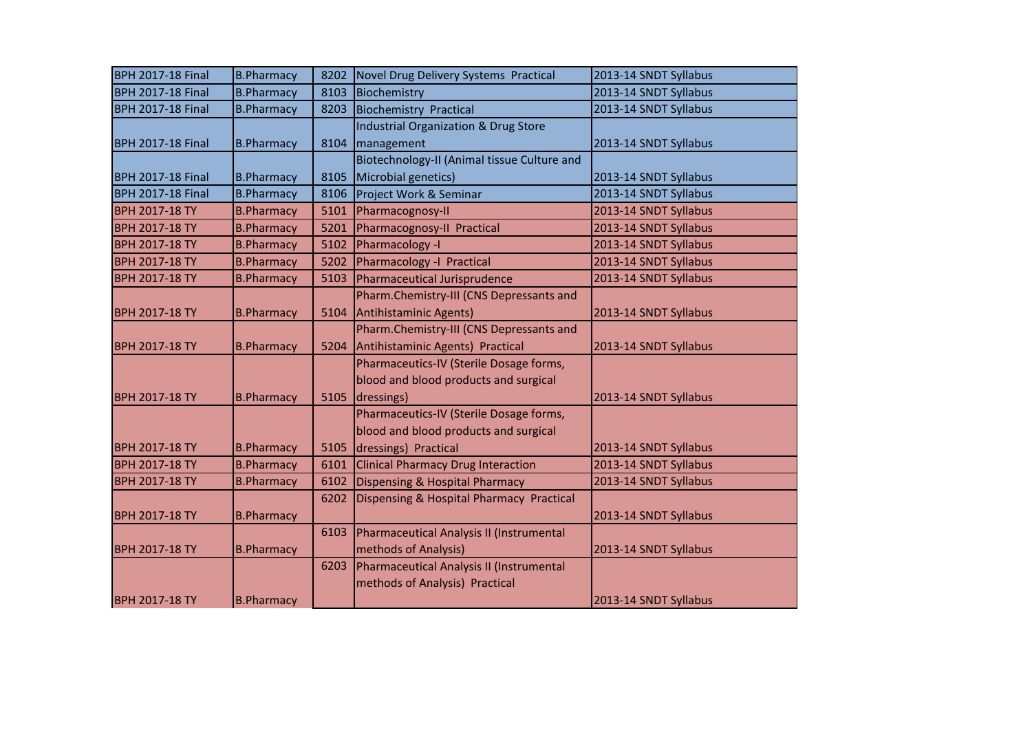| <b>BPH 2017-18 Final</b> | <b>B.Pharmacy</b> | 8202 | Novel Drug Delivery Systems Practical           | 2013-14 SNDT Syllabus |
|--------------------------|-------------------|------|-------------------------------------------------|-----------------------|
| <b>BPH 2017-18 Final</b> | <b>B.Pharmacy</b> | 8103 | Biochemistry                                    | 2013-14 SNDT Syllabus |
| <b>BPH 2017-18 Final</b> | <b>B.Pharmacy</b> | 8203 | <b>Biochemistry Practical</b>                   | 2013-14 SNDT Syllabus |
|                          |                   |      | <b>Industrial Organization &amp; Drug Store</b> |                       |
| <b>BPH 2017-18 Final</b> | <b>B.Pharmacy</b> | 8104 | management                                      | 2013-14 SNDT Syllabus |
|                          |                   |      | Biotechnology-II (Animal tissue Culture and     |                       |
| <b>BPH 2017-18 Final</b> | <b>B.Pharmacy</b> | 8105 | Microbial genetics)                             | 2013-14 SNDT Syllabus |
| <b>BPH 2017-18 Final</b> | <b>B.Pharmacy</b> | 8106 | Project Work & Seminar                          | 2013-14 SNDT Syllabus |
| <b>BPH 2017-18 TY</b>    | <b>B.Pharmacy</b> | 5101 | Pharmacognosy-II                                | 2013-14 SNDT Syllabus |
| <b>BPH 2017-18 TY</b>    | <b>B.Pharmacy</b> | 5201 | Pharmacognosy-II Practical                      | 2013-14 SNDT Syllabus |
| <b>BPH 2017-18 TY</b>    | <b>B.Pharmacy</b> | 5102 | Pharmacology -I                                 | 2013-14 SNDT Syllabus |
| <b>BPH 2017-18 TY</b>    | <b>B.Pharmacy</b> | 5202 | Pharmacology -I Practical                       | 2013-14 SNDT Syllabus |
| <b>BPH 2017-18 TY</b>    | <b>B.Pharmacy</b> | 5103 | Pharmaceutical Jurisprudence                    | 2013-14 SNDT Syllabus |
|                          |                   |      | Pharm.Chemistry-III (CNS Depressants and        |                       |
| <b>BPH 2017-18 TY</b>    | <b>B.Pharmacy</b> | 5104 | Antihistaminic Agents)                          | 2013-14 SNDT Syllabus |
|                          |                   |      | Pharm.Chemistry-III (CNS Depressants and        |                       |
| <b>BPH 2017-18 TY</b>    | <b>B.Pharmacy</b> | 5204 | Antihistaminic Agents) Practical                | 2013-14 SNDT Syllabus |
|                          |                   |      | Pharmaceutics-IV (Sterile Dosage forms,         |                       |
|                          |                   |      | blood and blood products and surgical           |                       |
| <b>BPH 2017-18 TY</b>    | <b>B.Pharmacy</b> | 5105 | dressings)                                      | 2013-14 SNDT Syllabus |
|                          |                   |      | Pharmaceutics-IV (Sterile Dosage forms,         |                       |
|                          |                   |      | blood and blood products and surgical           |                       |
| <b>BPH 2017-18 TY</b>    | <b>B.Pharmacy</b> | 5105 | dressings) Practical                            | 2013-14 SNDT Syllabus |
| <b>BPH 2017-18 TY</b>    | <b>B.Pharmacy</b> | 6101 | <b>Clinical Pharmacy Drug Interaction</b>       | 2013-14 SNDT Syllabus |
| <b>BPH 2017-18 TY</b>    | <b>B.Pharmacy</b> | 6102 | <b>Dispensing &amp; Hospital Pharmacy</b>       | 2013-14 SNDT Syllabus |
|                          |                   | 6202 | Dispensing & Hospital Pharmacy Practical        |                       |
| <b>BPH 2017-18 TY</b>    | <b>B.Pharmacy</b> |      |                                                 | 2013-14 SNDT Syllabus |
|                          |                   | 6103 | Pharmaceutical Analysis II (Instrumental        |                       |
| <b>BPH 2017-18 TY</b>    | <b>B.Pharmacy</b> |      | methods of Analysis)                            | 2013-14 SNDT Syllabus |
|                          |                   | 6203 | Pharmaceutical Analysis II (Instrumental        |                       |
|                          |                   |      | methods of Analysis) Practical                  |                       |
| <b>BPH 2017-18 TY</b>    | <b>B.Pharmacy</b> |      |                                                 | 2013-14 SNDT Syllabus |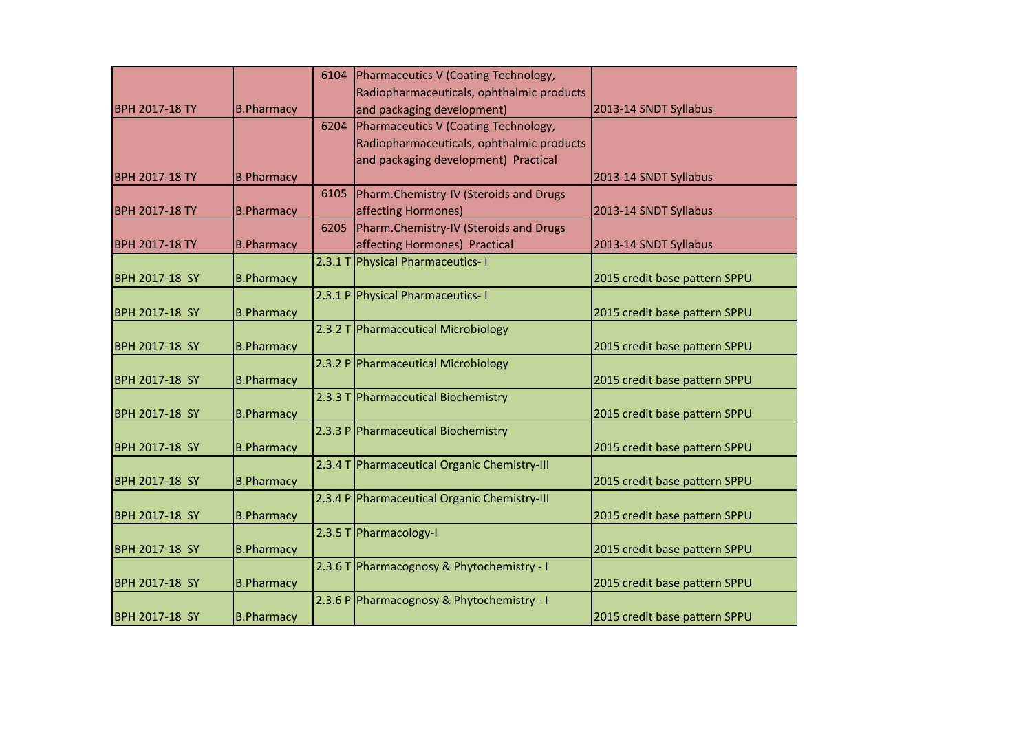|                       |                   | 6104    | Pharmaceutics V (Coating Technology,         |                               |
|-----------------------|-------------------|---------|----------------------------------------------|-------------------------------|
|                       |                   |         | Radiopharmaceuticals, ophthalmic products    |                               |
| <b>BPH 2017-18 TY</b> | <b>B.Pharmacy</b> |         | and packaging development)                   | 2013-14 SNDT Syllabus         |
|                       |                   | 6204    | Pharmaceutics V (Coating Technology,         |                               |
|                       |                   |         | Radiopharmaceuticals, ophthalmic products    |                               |
|                       |                   |         | and packaging development) Practical         |                               |
| <b>BPH 2017-18 TY</b> | <b>B.Pharmacy</b> |         |                                              | 2013-14 SNDT Syllabus         |
|                       |                   | 6105    | Pharm.Chemistry-IV (Steroids and Drugs       |                               |
| <b>BPH 2017-18 TY</b> | <b>B.Pharmacy</b> |         | affecting Hormones)                          | 2013-14 SNDT Syllabus         |
|                       |                   | 6205    | Pharm.Chemistry-IV (Steroids and Drugs       |                               |
| <b>BPH 2017-18 TY</b> | <b>B.Pharmacy</b> |         | affecting Hormones) Practical                | 2013-14 SNDT Syllabus         |
|                       |                   | 2.3.1 T | <b>Physical Pharmaceutics-1</b>              |                               |
| BPH 2017-18 SY        | <b>B.Pharmacy</b> |         |                                              | 2015 credit base pattern SPPU |
|                       |                   |         | 2.3.1 P Physical Pharmaceutics-1             |                               |
| BPH 2017-18 SY        | <b>B.Pharmacy</b> |         |                                              | 2015 credit base pattern SPPU |
|                       |                   |         | 2.3.2 T Pharmaceutical Microbiology          |                               |
| BPH 2017-18 SY        | <b>B.Pharmacy</b> |         |                                              | 2015 credit base pattern SPPU |
|                       |                   |         | 2.3.2 P Pharmaceutical Microbiology          |                               |
| BPH 2017-18 SY        | <b>B.Pharmacy</b> |         |                                              | 2015 credit base pattern SPPU |
|                       |                   |         | 2.3.3 T Pharmaceutical Biochemistry          |                               |
| BPH 2017-18 SY        | <b>B.Pharmacy</b> |         |                                              | 2015 credit base pattern SPPU |
|                       |                   |         | 2.3.3 P Pharmaceutical Biochemistry          |                               |
| BPH 2017-18 SY        | <b>B.Pharmacy</b> |         |                                              | 2015 credit base pattern SPPU |
|                       |                   |         | 2.3.4 T Pharmaceutical Organic Chemistry-III |                               |
| BPH 2017-18 SY        | <b>B.Pharmacy</b> |         |                                              | 2015 credit base pattern SPPU |
|                       |                   |         | 2.3.4 P Pharmaceutical Organic Chemistry-III |                               |
| BPH 2017-18 SY        | <b>B.Pharmacy</b> |         |                                              | 2015 credit base pattern SPPU |
|                       |                   |         | 2.3.5 T Pharmacology-I                       |                               |
| BPH 2017-18 SY        | <b>B.Pharmacy</b> |         |                                              | 2015 credit base pattern SPPU |
|                       |                   |         | 2.3.6 T Pharmacognosy & Phytochemistry - I   |                               |
| BPH 2017-18 SY        | <b>B.Pharmacy</b> |         |                                              | 2015 credit base pattern SPPU |
|                       |                   |         | 2.3.6 P Pharmacognosy & Phytochemistry - I   |                               |
| BPH 2017-18 SY        | <b>B.Pharmacy</b> |         |                                              | 2015 credit base pattern SPPU |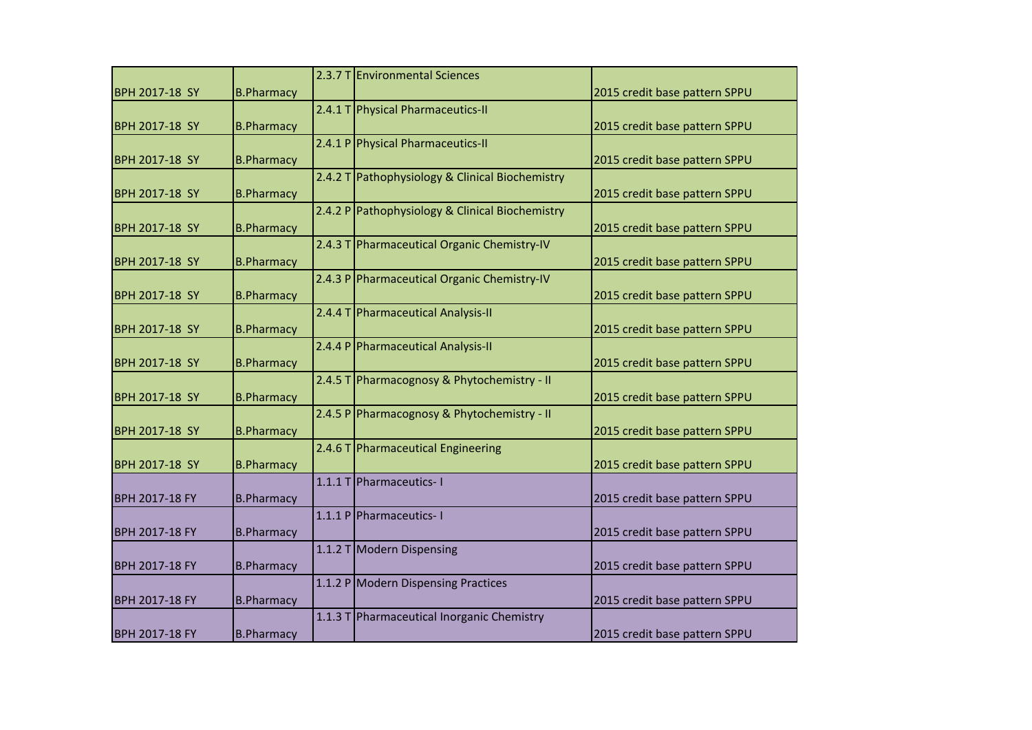|                       |                   |         | 2.3.7 T Environmental Sciences                  |                               |
|-----------------------|-------------------|---------|-------------------------------------------------|-------------------------------|
| <b>BPH 2017-18 SY</b> | <b>B.Pharmacy</b> |         |                                                 | 2015 credit base pattern SPPU |
|                       |                   | 2.4.1 T | Physical Pharmaceutics-II                       |                               |
| <b>BPH 2017-18 SY</b> | <b>B.Pharmacy</b> |         |                                                 | 2015 credit base pattern SPPU |
|                       |                   | 2.4.1P  | <b>Physical Pharmaceutics-II</b>                |                               |
| <b>BPH 2017-18 SY</b> | <b>B.Pharmacy</b> |         |                                                 | 2015 credit base pattern SPPU |
|                       |                   | 2.4.2 T | Pathophysiology & Clinical Biochemistry         |                               |
| <b>BPH 2017-18 SY</b> | <b>B.Pharmacy</b> |         |                                                 | 2015 credit base pattern SPPU |
|                       |                   |         | 2.4.2 P Pathophysiology & Clinical Biochemistry |                               |
| <b>BPH 2017-18 SY</b> | <b>B.Pharmacy</b> |         |                                                 | 2015 credit base pattern SPPU |
|                       |                   | 2.4.3 T | Pharmaceutical Organic Chemistry-IV             |                               |
| <b>BPH 2017-18 SY</b> | <b>B.Pharmacy</b> |         |                                                 | 2015 credit base pattern SPPU |
|                       |                   |         | 2.4.3 P Pharmaceutical Organic Chemistry-IV     |                               |
| <b>BPH 2017-18 SY</b> | <b>B.Pharmacy</b> |         |                                                 | 2015 credit base pattern SPPU |
| <b>BPH 2017-18 SY</b> | <b>B.Pharmacy</b> |         | 2.4.4 T Pharmaceutical Analysis-II              | 2015 credit base pattern SPPU |
|                       |                   |         | 2.4.4 P Pharmaceutical Analysis-II              |                               |
| <b>BPH 2017-18 SY</b> | <b>B.Pharmacy</b> |         |                                                 | 2015 credit base pattern SPPU |
|                       |                   | 2.4.5T  | Pharmacognosy & Phytochemistry - II             |                               |
| <b>BPH 2017-18 SY</b> | <b>B.Pharmacy</b> |         |                                                 | 2015 credit base pattern SPPU |
|                       |                   |         | 2.4.5 P Pharmacognosy & Phytochemistry - II     |                               |
| <b>BPH 2017-18 SY</b> | <b>B.Pharmacy</b> |         |                                                 | 2015 credit base pattern SPPU |
|                       |                   |         | 2.4.6 T Pharmaceutical Engineering              |                               |
| <b>BPH 2017-18 SY</b> | <b>B.Pharmacy</b> |         |                                                 | 2015 credit base pattern SPPU |
|                       |                   | 1.1.1T  | Pharmaceutics-1                                 |                               |
| <b>BPH 2017-18 FY</b> | <b>B.Pharmacy</b> |         |                                                 | 2015 credit base pattern SPPU |
|                       |                   |         | 1.1.1 P Pharmaceutics-1                         |                               |
| <b>BPH 2017-18 FY</b> | <b>B.Pharmacy</b> |         |                                                 | 2015 credit base pattern SPPU |
|                       |                   |         | 1.1.2 T Modern Dispensing                       |                               |
| <b>BPH 2017-18 FY</b> | <b>B.Pharmacy</b> |         |                                                 | 2015 credit base pattern SPPU |
|                       |                   |         | 1.1.2 P Modern Dispensing Practices             |                               |
| <b>BPH 2017-18 FY</b> | <b>B.Pharmacy</b> |         |                                                 | 2015 credit base pattern SPPU |
|                       |                   |         | 1.1.3 T Pharmaceutical Inorganic Chemistry      |                               |
| <b>BPH 2017-18 FY</b> | <b>B.Pharmacy</b> |         |                                                 | 2015 credit base pattern SPPU |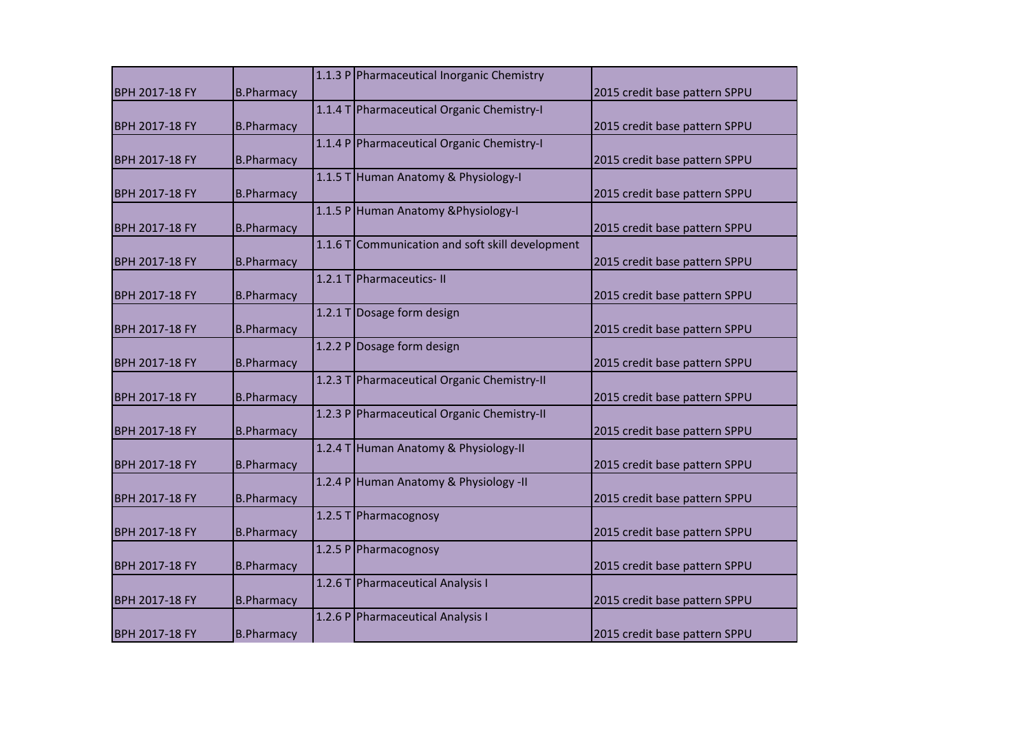|                       |                   | 1.1.3 P Pharmaceutical Inorganic Chemistry       |                               |
|-----------------------|-------------------|--------------------------------------------------|-------------------------------|
| <b>BPH 2017-18 FY</b> | <b>B.Pharmacy</b> |                                                  | 2015 credit base pattern SPPU |
|                       |                   | 1.1.4 T Pharmaceutical Organic Chemistry-I       |                               |
| BPH 2017-18 FY        | <b>B.Pharmacy</b> |                                                  | 2015 credit base pattern SPPU |
|                       |                   | 1.1.4 P Pharmaceutical Organic Chemistry-I       |                               |
| BPH 2017-18 FY        | <b>B.Pharmacy</b> |                                                  | 2015 credit base pattern SPPU |
|                       |                   | 1.1.5 T Human Anatomy & Physiology-I             |                               |
| BPH 2017-18 FY        | <b>B.Pharmacy</b> |                                                  | 2015 credit base pattern SPPU |
|                       |                   | 1.1.5 P Human Anatomy & Physiology-I             |                               |
| BPH 2017-18 FY        | <b>B.Pharmacy</b> |                                                  | 2015 credit base pattern SPPU |
|                       |                   | 1.1.6 T Communication and soft skill development |                               |
| BPH 2017-18 FY        | <b>B.Pharmacy</b> |                                                  | 2015 credit base pattern SPPU |
|                       |                   | 1.2.1 T Pharmaceutics-II                         |                               |
| <b>BPH 2017-18 FY</b> | <b>B.Pharmacy</b> |                                                  | 2015 credit base pattern SPPU |
|                       |                   | 1.2.1 T Dosage form design                       |                               |
| BPH 2017-18 FY        | <b>B.Pharmacy</b> |                                                  | 2015 credit base pattern SPPU |
|                       |                   | 1.2.2 P Dosage form design                       |                               |
| BPH 2017-18 FY        | <b>B.Pharmacy</b> |                                                  | 2015 credit base pattern SPPU |
|                       |                   | 1.2.3 T Pharmaceutical Organic Chemistry-II      |                               |
| BPH 2017-18 FY        | <b>B.Pharmacy</b> |                                                  | 2015 credit base pattern SPPU |
|                       |                   | 1.2.3 P Pharmaceutical Organic Chemistry-II      |                               |
| BPH 2017-18 FY        | <b>B.Pharmacy</b> |                                                  | 2015 credit base pattern SPPU |
|                       |                   | 1.2.4 T Human Anatomy & Physiology-II            |                               |
| BPH 2017-18 FY        | <b>B.Pharmacy</b> |                                                  | 2015 credit base pattern SPPU |
|                       |                   | 1.2.4 P Human Anatomy & Physiology -II           |                               |
| BPH 2017-18 FY        | <b>B.Pharmacy</b> |                                                  | 2015 credit base pattern SPPU |
|                       |                   | 1.2.5 T Pharmacognosy                            |                               |
| BPH 2017-18 FY        | <b>B.Pharmacy</b> |                                                  | 2015 credit base pattern SPPU |
|                       |                   | 1.2.5 P Pharmacognosy                            |                               |
| BPH 2017-18 FY        | <b>B.Pharmacy</b> |                                                  | 2015 credit base pattern SPPU |
|                       |                   | 1.2.6 T Pharmaceutical Analysis I                |                               |
| BPH 2017-18 FY        | <b>B.Pharmacy</b> |                                                  | 2015 credit base pattern SPPU |
|                       |                   | 1.2.6 P Pharmaceutical Analysis I                |                               |
| BPH 2017-18 FY        | <b>B.Pharmacy</b> |                                                  | 2015 credit base pattern SPPU |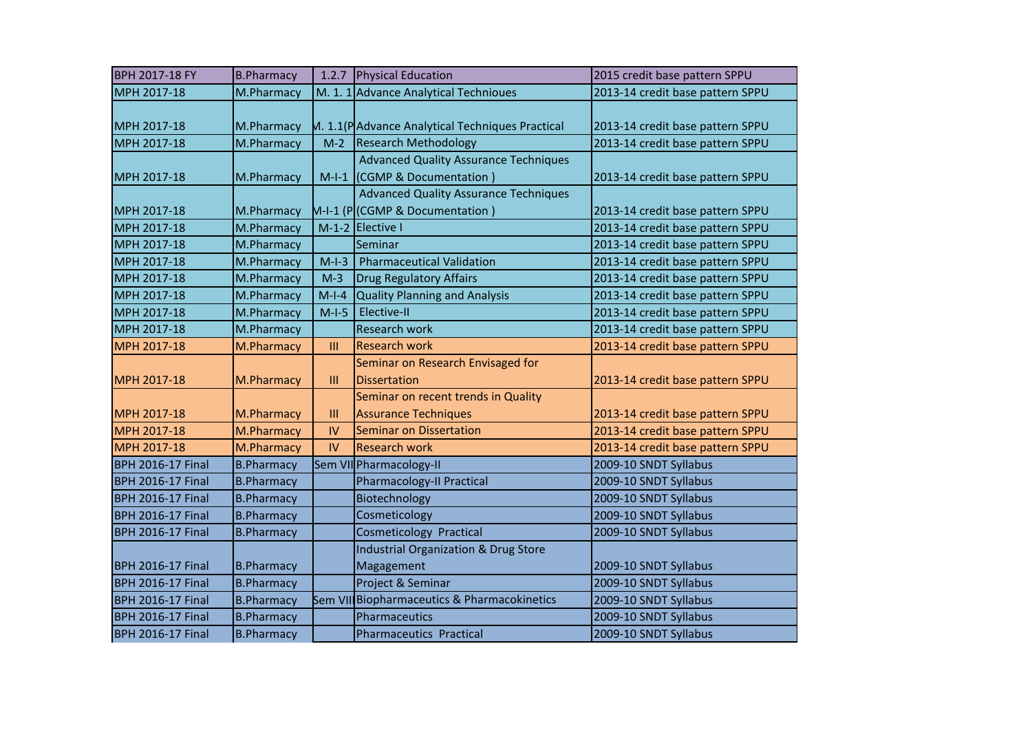| BPH 2017-18 FY                                       | <b>B.Pharmacy</b>                      | 1.2.7          | Physical Education                                                                              | 2015 credit base pattern SPPU                  |
|------------------------------------------------------|----------------------------------------|----------------|-------------------------------------------------------------------------------------------------|------------------------------------------------|
| MPH 2017-18                                          | M.Pharmacy                             |                | M. 1. 1 Advance Analytical Technioues                                                           | 2013-14 credit base pattern SPPU               |
| MPH 2017-18                                          | M.Pharmacy                             |                | M. 1.1(PAdvance Analytical Techniques Practical                                                 | 2013-14 credit base pattern SPPU               |
| MPH 2017-18                                          | M.Pharmacy                             | $M-2$          | <b>Research Methodology</b>                                                                     | 2013-14 credit base pattern SPPU               |
| MPH 2017-18                                          | M.Pharmacy                             |                | <b>Advanced Quality Assurance Techniques</b><br>M-I-1 (CGMP & Documentation)                    | 2013-14 credit base pattern SPPU               |
| MPH 2017-18                                          | M.Pharmacy                             |                | <b>Advanced Quality Assurance Techniques</b><br>M-I-1 (P (CGMP & Documentation)                 | 2013-14 credit base pattern SPPU               |
| MPH 2017-18                                          | M.Pharmacy                             |                | $M-1-2$ Elective I                                                                              | 2013-14 credit base pattern SPPU               |
| MPH 2017-18                                          | M.Pharmacy                             |                | Seminar                                                                                         | 2013-14 credit base pattern SPPU               |
| MPH 2017-18                                          | M.Pharmacy                             | $M-I-3$        | <b>Pharmaceutical Validation</b>                                                                | 2013-14 credit base pattern SPPU               |
| MPH 2017-18                                          | M.Pharmacy                             | $M-3$          | Drug Regulatory Affairs                                                                         | 2013-14 credit base pattern SPPU               |
| MPH 2017-18                                          | M.Pharmacy                             | $M-I-4$        | Quality Planning and Analysis                                                                   | 2013-14 credit base pattern SPPU               |
| MPH 2017-18                                          | M.Pharmacy                             | $M-I-5$        | Elective-II                                                                                     | 2013-14 credit base pattern SPPU               |
| MPH 2017-18                                          | M.Pharmacy                             |                | <b>Research work</b>                                                                            | 2013-14 credit base pattern SPPU               |
| MPH 2017-18                                          | M.Pharmacy                             | $\mathbf{III}$ | <b>Research work</b>                                                                            | 2013-14 credit base pattern SPPU               |
| MPH 2017-18                                          | M.Pharmacy                             | III            | Seminar on Research Envisaged for<br><b>Dissertation</b><br>Seminar on recent trends in Quality | 2013-14 credit base pattern SPPU               |
|                                                      |                                        |                |                                                                                                 |                                                |
| MPH 2017-18                                          | M.Pharmacy                             | $\mathbf{III}$ | <b>Assurance Techniques</b>                                                                     | 2013-14 credit base pattern SPPU               |
| MPH 2017-18                                          | M.Pharmacy                             | IV             | Seminar on Dissertation                                                                         | 2013-14 credit base pattern SPPU               |
| MPH 2017-18                                          | M.Pharmacy                             | IV             | <b>Research work</b>                                                                            | 2013-14 credit base pattern SPPU               |
| <b>BPH 2016-17 Final</b>                             | <b>B.Pharmacy</b>                      |                | Sem VII Pharmacology-II                                                                         | 2009-10 SNDT Syllabus                          |
| <b>BPH 2016-17 Final</b>                             | <b>B.Pharmacy</b>                      |                | Pharmacology-II Practical                                                                       | 2009-10 SNDT Syllabus                          |
| <b>BPH 2016-17 Final</b>                             | <b>B.Pharmacy</b>                      |                | Biotechnology                                                                                   | 2009-10 SNDT Syllabus                          |
| <b>BPH 2016-17 Final</b>                             | <b>B.Pharmacy</b>                      |                | Cosmeticology                                                                                   | 2009-10 SNDT Syllabus                          |
| <b>BPH 2016-17 Final</b>                             | <b>B.Pharmacy</b>                      |                | <b>Cosmeticology Practical</b>                                                                  | 2009-10 SNDT Syllabus                          |
| <b>BPH 2016-17 Final</b>                             | <b>B.Pharmacy</b>                      |                | Industrial Organization & Drug Store<br>Magagement                                              | 2009-10 SNDT Syllabus                          |
| <b>BPH 2016-17 Final</b>                             | <b>B.Pharmacy</b>                      |                | Project & Seminar                                                                               | 2009-10 SNDT Syllabus                          |
| <b>BPH 2016-17 Final</b>                             | <b>B.Pharmacy</b>                      |                | Sem VII Biopharmaceutics & Pharmacokinetics                                                     | 2009-10 SNDT Syllabus                          |
| <b>BPH 2016-17 Final</b><br><b>BPH 2016-17 Final</b> | <b>B.Pharmacy</b><br><b>B.Pharmacy</b> |                | Pharmaceutics<br><b>Pharmaceutics Practical</b>                                                 | 2009-10 SNDT Syllabus<br>2009-10 SNDT Syllabus |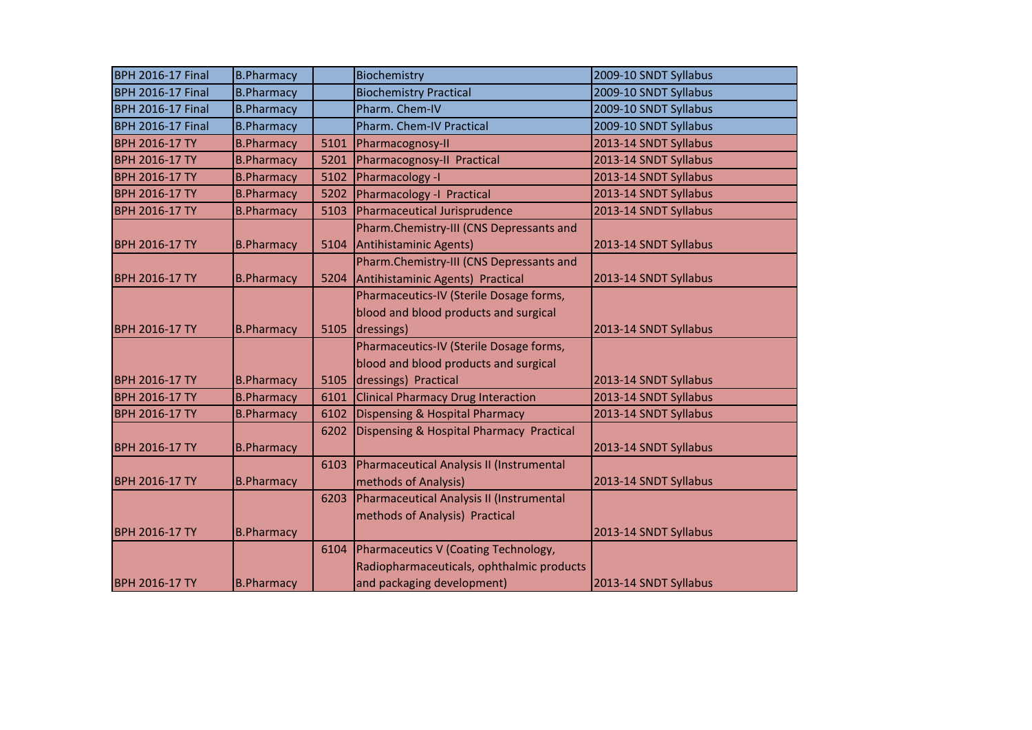| <b>BPH 2016-17 Final</b> | <b>B.Pharmacy</b> |      | Biochemistry                              | 2009-10 SNDT Syllabus |
|--------------------------|-------------------|------|-------------------------------------------|-----------------------|
| <b>BPH 2016-17 Final</b> | <b>B.Pharmacy</b> |      | <b>Biochemistry Practical</b>             | 2009-10 SNDT Syllabus |
| <b>BPH 2016-17 Final</b> | <b>B.Pharmacy</b> |      | Pharm. Chem-IV                            | 2009-10 SNDT Syllabus |
| <b>BPH 2016-17 Final</b> | <b>B.Pharmacy</b> |      | Pharm. Chem-IV Practical                  | 2009-10 SNDT Syllabus |
| BPH 2016-17 TY           | <b>B.Pharmacy</b> | 5101 | Pharmacognosy-II                          | 2013-14 SNDT Syllabus |
| BPH 2016-17 TY           | <b>B.Pharmacy</b> | 5201 | Pharmacognosy-II Practical                | 2013-14 SNDT Syllabus |
| BPH 2016-17 TY           | <b>B.Pharmacy</b> | 5102 | Pharmacology -I                           | 2013-14 SNDT Syllabus |
| BPH 2016-17 TY           | <b>B.Pharmacy</b> | 5202 | Pharmacology -I Practical                 | 2013-14 SNDT Syllabus |
| BPH 2016-17 TY           | <b>B.Pharmacy</b> | 5103 | Pharmaceutical Jurisprudence              | 2013-14 SNDT Syllabus |
|                          |                   |      | Pharm.Chemistry-III (CNS Depressants and  |                       |
| <b>BPH 2016-17 TY</b>    | <b>B.Pharmacy</b> | 5104 | Antihistaminic Agents)                    | 2013-14 SNDT Syllabus |
|                          |                   |      | Pharm.Chemistry-III (CNS Depressants and  |                       |
| <b>BPH 2016-17 TY</b>    | <b>B.Pharmacy</b> | 5204 | Antihistaminic Agents) Practical          | 2013-14 SNDT Syllabus |
|                          |                   |      | Pharmaceutics-IV (Sterile Dosage forms,   |                       |
|                          |                   |      | blood and blood products and surgical     |                       |
| <b>BPH 2016-17 TY</b>    | <b>B.Pharmacy</b> | 5105 | dressings)                                | 2013-14 SNDT Syllabus |
|                          |                   |      | Pharmaceutics-IV (Sterile Dosage forms,   |                       |
|                          |                   |      | blood and blood products and surgical     |                       |
| <b>BPH 2016-17 TY</b>    | <b>B.Pharmacy</b> | 5105 | dressings) Practical                      | 2013-14 SNDT Syllabus |
| BPH 2016-17 TY           | <b>B.Pharmacy</b> | 6101 | <b>Clinical Pharmacy Drug Interaction</b> | 2013-14 SNDT Syllabus |
| BPH 2016-17 TY           | <b>B.Pharmacy</b> | 6102 | Dispensing & Hospital Pharmacy            | 2013-14 SNDT Syllabus |
|                          |                   | 6202 | Dispensing & Hospital Pharmacy Practical  |                       |
| <b>BPH 2016-17 TY</b>    | <b>B.Pharmacy</b> |      |                                           | 2013-14 SNDT Syllabus |
|                          |                   | 6103 | Pharmaceutical Analysis II (Instrumental  |                       |
| <b>BPH 2016-17 TY</b>    | <b>B.Pharmacy</b> |      | methods of Analysis)                      | 2013-14 SNDT Syllabus |
|                          |                   | 6203 | Pharmaceutical Analysis II (Instrumental  |                       |
|                          |                   |      | methods of Analysis) Practical            |                       |
| <b>BPH 2016-17 TY</b>    | <b>B.Pharmacy</b> |      |                                           | 2013-14 SNDT Syllabus |
|                          |                   | 6104 | Pharmaceutics V (Coating Technology,      |                       |
|                          |                   |      | Radiopharmaceuticals, ophthalmic products |                       |
| <b>BPH 2016-17 TY</b>    | <b>B.Pharmacy</b> |      | and packaging development)                | 2013-14 SNDT Syllabus |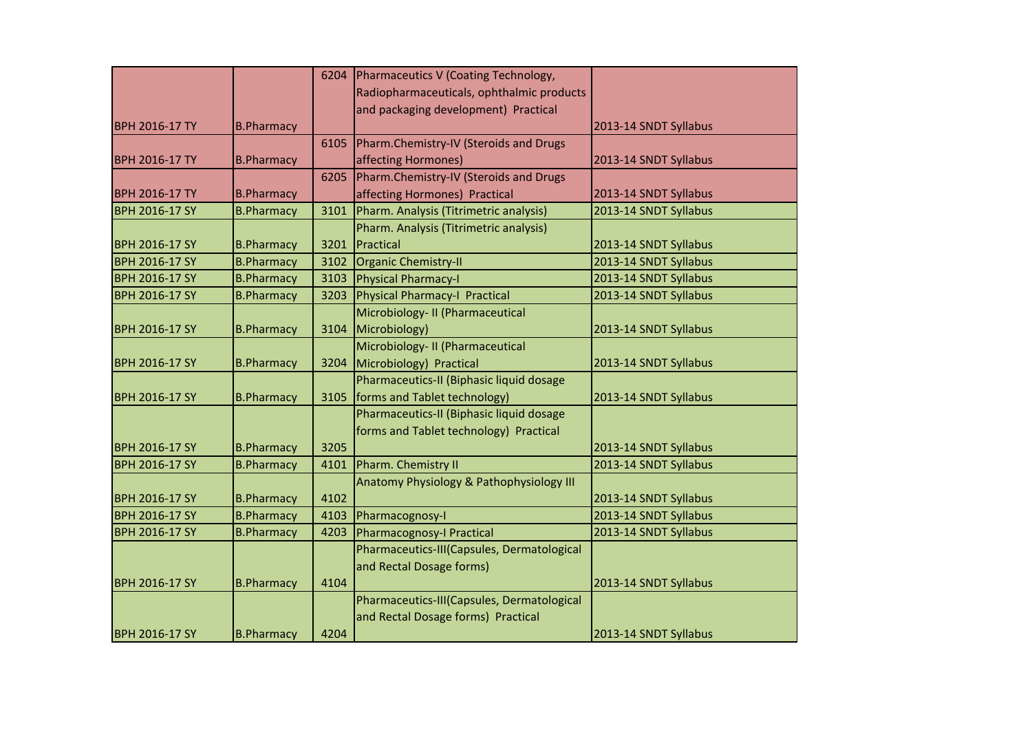|                       |                   | 6204 | Pharmaceutics V (Coating Technology,       |                       |
|-----------------------|-------------------|------|--------------------------------------------|-----------------------|
|                       |                   |      | Radiopharmaceuticals, ophthalmic products  |                       |
|                       |                   |      | and packaging development) Practical       |                       |
| <b>BPH 2016-17 TY</b> | <b>B.Pharmacy</b> |      |                                            | 2013-14 SNDT Syllabus |
|                       |                   | 6105 | Pharm.Chemistry-IV (Steroids and Drugs     |                       |
| <b>BPH 2016-17 TY</b> | <b>B.Pharmacy</b> |      | affecting Hormones)                        | 2013-14 SNDT Syllabus |
|                       |                   | 6205 | Pharm.Chemistry-IV (Steroids and Drugs     |                       |
| <b>BPH 2016-17 TY</b> | <b>B.Pharmacy</b> |      | affecting Hormones) Practical              | 2013-14 SNDT Syllabus |
| <b>BPH 2016-17 SY</b> | <b>B.Pharmacy</b> | 3101 | Pharm. Analysis (Titrimetric analysis)     | 2013-14 SNDT Syllabus |
|                       |                   |      | Pharm. Analysis (Titrimetric analysis)     |                       |
| <b>BPH 2016-17 SY</b> | <b>B.Pharmacy</b> | 3201 | Practical                                  | 2013-14 SNDT Syllabus |
| <b>BPH 2016-17 SY</b> | <b>B.Pharmacy</b> | 3102 | Organic Chemistry-II                       | 2013-14 SNDT Syllabus |
| <b>BPH 2016-17 SY</b> | <b>B.Pharmacy</b> | 3103 | Physical Pharmacy-I                        | 2013-14 SNDT Syllabus |
| <b>BPH 2016-17 SY</b> | <b>B.Pharmacy</b> | 3203 | Physical Pharmacy-I Practical              | 2013-14 SNDT Syllabus |
|                       |                   |      | Microbiology- II (Pharmaceutical           |                       |
| <b>BPH 2016-17 SY</b> | <b>B.Pharmacy</b> | 3104 | Microbiology)                              | 2013-14 SNDT Syllabus |
|                       |                   |      | Microbiology- II (Pharmaceutical           |                       |
| <b>BPH 2016-17 SY</b> | <b>B.Pharmacy</b> | 3204 | Microbiology) Practical                    | 2013-14 SNDT Syllabus |
|                       |                   |      | Pharmaceutics-II (Biphasic liquid dosage   |                       |
| <b>BPH 2016-17 SY</b> | <b>B.Pharmacy</b> | 3105 | forms and Tablet technology)               | 2013-14 SNDT Syllabus |
|                       |                   |      | Pharmaceutics-II (Biphasic liquid dosage   |                       |
|                       |                   |      | forms and Tablet technology) Practical     |                       |
| <b>BPH 2016-17 SY</b> | <b>B.Pharmacy</b> | 3205 |                                            | 2013-14 SNDT Syllabus |
| <b>BPH 2016-17 SY</b> | <b>B.Pharmacy</b> | 4101 | Pharm. Chemistry II                        | 2013-14 SNDT Syllabus |
|                       |                   |      | Anatomy Physiology & Pathophysiology III   |                       |
| <b>BPH 2016-17 SY</b> | <b>B.Pharmacy</b> | 4102 |                                            | 2013-14 SNDT Syllabus |
| <b>BPH 2016-17 SY</b> | <b>B.Pharmacy</b> | 4103 | Pharmacognosy-I                            | 2013-14 SNDT Syllabus |
| <b>BPH 2016-17 SY</b> | <b>B.Pharmacy</b> | 4203 | Pharmacognosy-I Practical                  | 2013-14 SNDT Syllabus |
|                       |                   |      | Pharmaceutics-III(Capsules, Dermatological |                       |
|                       |                   |      | and Rectal Dosage forms)                   |                       |
| <b>BPH 2016-17 SY</b> | <b>B.Pharmacy</b> | 4104 |                                            | 2013-14 SNDT Syllabus |
|                       |                   |      | Pharmaceutics-III(Capsules, Dermatological |                       |
|                       |                   |      | and Rectal Dosage forms) Practical         |                       |
| <b>BPH 2016-17 SY</b> | <b>B.Pharmacy</b> | 4204 |                                            | 2013-14 SNDT Syllabus |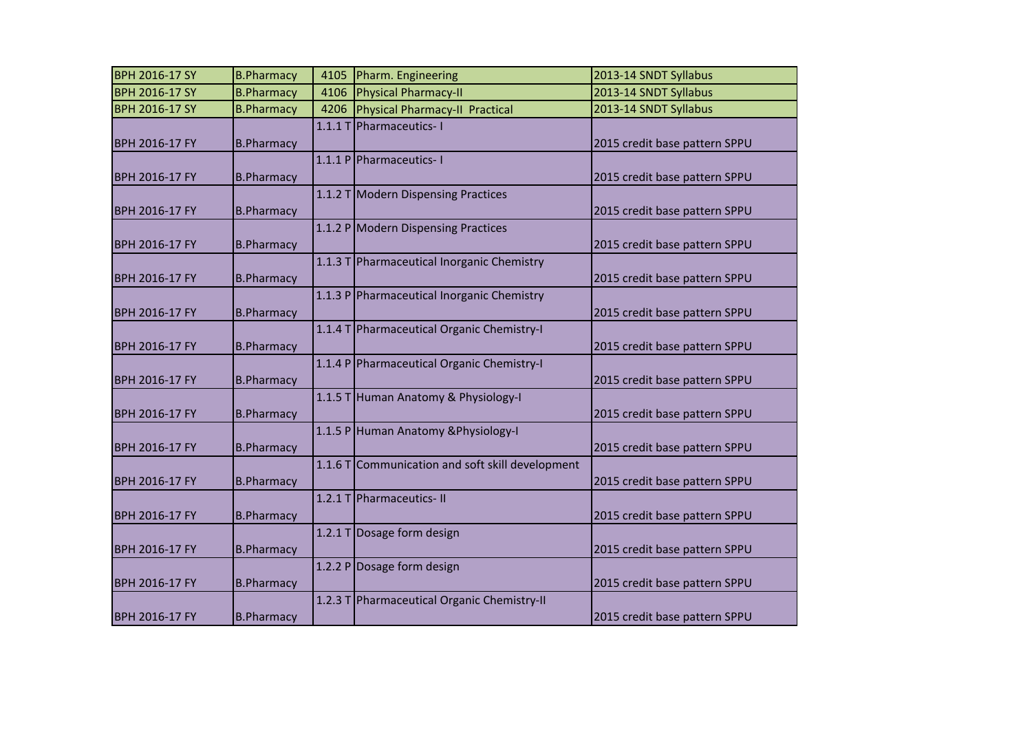| <b>BPH 2016-17 SY</b> | <b>B.Pharmacy</b> | 4105   | Pharm. Engineering                               | 2013-14 SNDT Syllabus         |
|-----------------------|-------------------|--------|--------------------------------------------------|-------------------------------|
| <b>BPH 2016-17 SY</b> | <b>B.Pharmacy</b> | 4106   |                                                  | 2013-14 SNDT Syllabus         |
|                       |                   |        | Physical Pharmacy-II                             |                               |
| <b>BPH 2016-17 SY</b> | <b>B.Pharmacy</b> | 4206   | Physical Pharmacy-II Practical                   | 2013-14 SNDT Syllabus         |
|                       |                   | 1.1.1T | Pharmaceutics-1                                  |                               |
| <b>BPH 2016-17 FY</b> | <b>B.Pharmacy</b> |        |                                                  | 2015 credit base pattern SPPU |
|                       |                   |        | 1.1.1 P Pharmaceutics-1                          |                               |
| <b>BPH 2016-17 FY</b> | <b>B.Pharmacy</b> |        |                                                  | 2015 credit base pattern SPPU |
|                       |                   |        | 1.1.2 T Modern Dispensing Practices              |                               |
| <b>BPH 2016-17 FY</b> | <b>B.Pharmacy</b> |        |                                                  | 2015 credit base pattern SPPU |
|                       |                   |        | 1.1.2 P Modern Dispensing Practices              |                               |
| <b>BPH 2016-17 FY</b> | <b>B.Pharmacy</b> |        |                                                  | 2015 credit base pattern SPPU |
|                       |                   |        |                                                  |                               |
|                       |                   |        | 1.1.3 T Pharmaceutical Inorganic Chemistry       |                               |
| <b>BPH 2016-17 FY</b> | <b>B.Pharmacy</b> |        |                                                  | 2015 credit base pattern SPPU |
|                       |                   |        | 1.1.3 P Pharmaceutical Inorganic Chemistry       |                               |
| BPH 2016-17 FY        | <b>B.Pharmacy</b> |        |                                                  | 2015 credit base pattern SPPU |
|                       |                   |        | 1.1.4 T Pharmaceutical Organic Chemistry-I       |                               |
| <b>BPH 2016-17 FY</b> | <b>B.Pharmacy</b> |        |                                                  | 2015 credit base pattern SPPU |
|                       |                   |        | 1.1.4 P Pharmaceutical Organic Chemistry-I       |                               |
| <b>BPH 2016-17 FY</b> | <b>B.Pharmacy</b> |        |                                                  | 2015 credit base pattern SPPU |
|                       |                   |        | 1.1.5 T Human Anatomy & Physiology-I             |                               |
|                       |                   |        |                                                  |                               |
| <b>BPH 2016-17 FY</b> | <b>B.Pharmacy</b> |        |                                                  | 2015 credit base pattern SPPU |
|                       |                   |        | 1.1.5 P Human Anatomy & Physiology-I             |                               |
| <b>BPH 2016-17 FY</b> | <b>B.Pharmacy</b> |        |                                                  | 2015 credit base pattern SPPU |
|                       |                   |        | 1.1.6 T Communication and soft skill development |                               |
| <b>BPH 2016-17 FY</b> | <b>B.Pharmacy</b> |        |                                                  | 2015 credit base pattern SPPU |
|                       |                   |        | 1.2.1 T Pharmaceutics- II                        |                               |
| <b>BPH 2016-17 FY</b> | <b>B.Pharmacy</b> |        |                                                  | 2015 credit base pattern SPPU |
|                       |                   | 1.2.1T | Dosage form design                               |                               |
| <b>BPH 2016-17 FY</b> | <b>B.Pharmacy</b> |        |                                                  | 2015 credit base pattern SPPU |
|                       |                   |        | 1.2.2 P Dosage form design                       |                               |
|                       |                   |        |                                                  |                               |
| <b>BPH 2016-17 FY</b> | <b>B.Pharmacy</b> |        |                                                  | 2015 credit base pattern SPPU |
|                       |                   |        | 1.2.3 T Pharmaceutical Organic Chemistry-II      |                               |
| <b>BPH 2016-17 FY</b> | <b>B.Pharmacy</b> |        |                                                  | 2015 credit base pattern SPPU |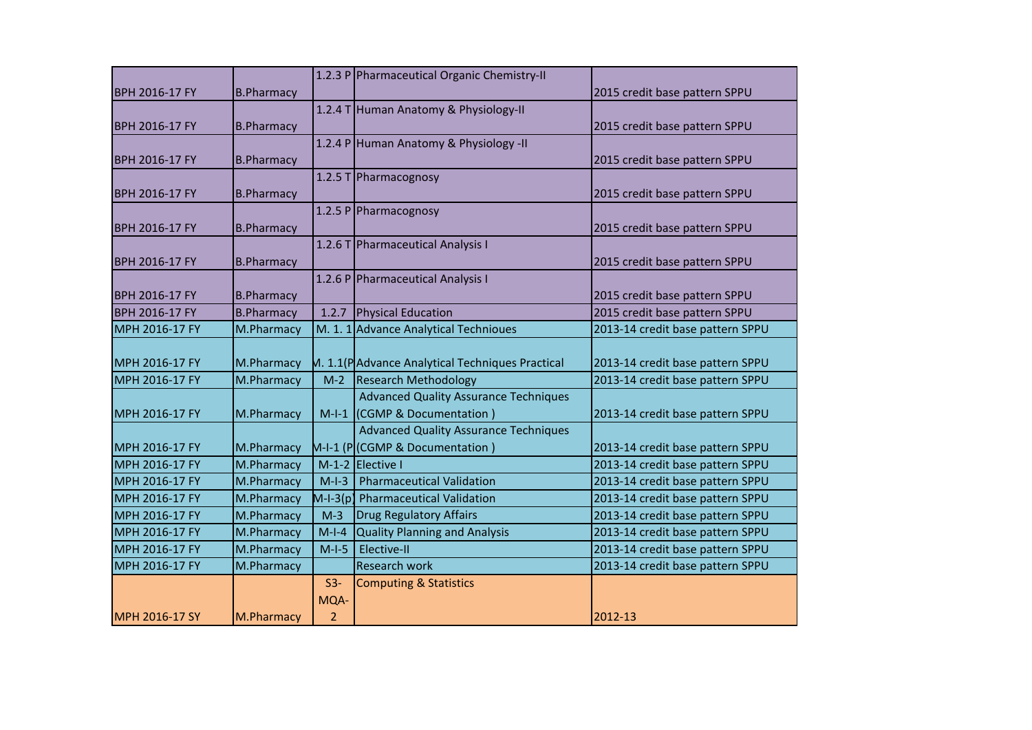|                       |                   |                | 1.2.3 P Pharmaceutical Organic Chemistry-II     |                                  |
|-----------------------|-------------------|----------------|-------------------------------------------------|----------------------------------|
| <b>BPH 2016-17 FY</b> | <b>B.Pharmacy</b> |                |                                                 | 2015 credit base pattern SPPU    |
|                       |                   |                | 1.2.4 T Human Anatomy & Physiology-II           |                                  |
| <b>BPH 2016-17 FY</b> | <b>B.Pharmacy</b> |                |                                                 | 2015 credit base pattern SPPU    |
|                       |                   |                | 1.2.4 P Human Anatomy & Physiology -II          |                                  |
| <b>BPH 2016-17 FY</b> | <b>B.Pharmacy</b> |                |                                                 | 2015 credit base pattern SPPU    |
|                       |                   |                | 1.2.5 T Pharmacognosy                           |                                  |
| <b>BPH 2016-17 FY</b> | <b>B.Pharmacy</b> |                |                                                 | 2015 credit base pattern SPPU    |
|                       |                   |                | 1.2.5 P Pharmacognosy                           |                                  |
| <b>BPH 2016-17 FY</b> | <b>B.Pharmacy</b> |                |                                                 | 2015 credit base pattern SPPU    |
|                       |                   |                | 1.2.6 T Pharmaceutical Analysis I               |                                  |
| <b>BPH 2016-17 FY</b> | <b>B.Pharmacy</b> |                |                                                 | 2015 credit base pattern SPPU    |
|                       |                   |                | 1.2.6 P Pharmaceutical Analysis I               |                                  |
| <b>BPH 2016-17 FY</b> | <b>B.Pharmacy</b> |                |                                                 | 2015 credit base pattern SPPU    |
| <b>BPH 2016-17 FY</b> | <b>B.Pharmacy</b> | 1.2.7          | <b>Physical Education</b>                       | 2015 credit base pattern SPPU    |
| MPH 2016-17 FY        | M.Pharmacy        | M. 1.1         | <b>Advance Analytical Technioues</b>            | 2013-14 credit base pattern SPPU |
|                       |                   |                |                                                 |                                  |
| MPH 2016-17 FY        | M.Pharmacy        |                | M. 1.1(PAdvance Analytical Techniques Practical | 2013-14 credit base pattern SPPU |
| MPH 2016-17 FY        | M.Pharmacy        | $M-2$          | <b>Research Methodology</b>                     | 2013-14 credit base pattern SPPU |
|                       |                   |                | <b>Advanced Quality Assurance Techniques</b>    |                                  |
| MPH 2016-17 FY        | M.Pharmacy        | $M-I-1$        | (CGMP & Documentation)                          | 2013-14 credit base pattern SPPU |
|                       |                   |                | <b>Advanced Quality Assurance Techniques</b>    |                                  |
| MPH 2016-17 FY        | M.Pharmacy        |                | M-I-1 (P (CGMP & Documentation)                 | 2013-14 credit base pattern SPPU |
| MPH 2016-17 FY        | M.Pharmacy        |                | M-1-2 Elective I                                | 2013-14 credit base pattern SPPU |
| MPH 2016-17 FY        | M.Pharmacy        | $M-I-3$        | <b>Pharmaceutical Validation</b>                | 2013-14 credit base pattern SPPU |
| MPH 2016-17 FY        | M.Pharmacy        | $M-I-3(p)$     | <b>Pharmaceutical Validation</b>                | 2013-14 credit base pattern SPPU |
| MPH 2016-17 FY        | M.Pharmacy        | $M-3$          | <b>Drug Regulatory Affairs</b>                  | 2013-14 credit base pattern SPPU |
| MPH 2016-17 FY        | M.Pharmacy        | $M-I-4$        | <b>Quality Planning and Analysis</b>            | 2013-14 credit base pattern SPPU |
| MPH 2016-17 FY        | M.Pharmacy        | $M-I-5$        | Elective-II                                     | 2013-14 credit base pattern SPPU |
| MPH 2016-17 FY        | M.Pharmacy        |                | <b>Research work</b>                            | 2013-14 credit base pattern SPPU |
|                       |                   | $S3-$          | <b>Computing &amp; Statistics</b>               |                                  |
|                       |                   | MQA-           |                                                 |                                  |
| MPH 2016-17 SY        | M.Pharmacy        | $\overline{2}$ |                                                 | 2012-13                          |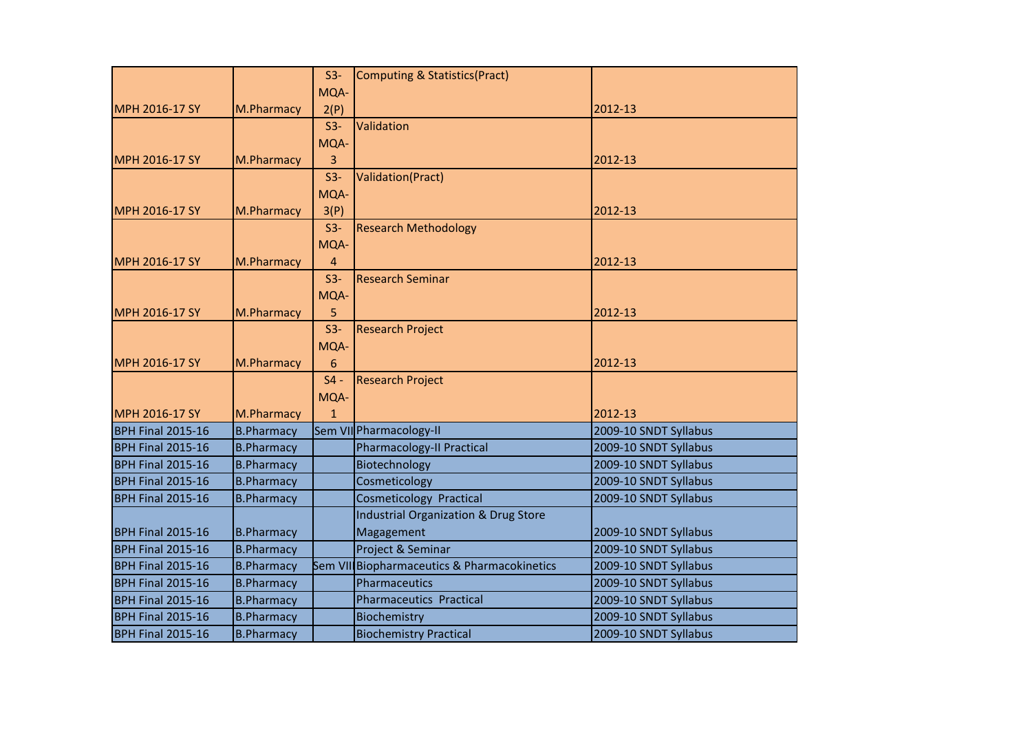|                          |                   | $S3-$          | Computing & Statistics(Pract)                   |                       |
|--------------------------|-------------------|----------------|-------------------------------------------------|-----------------------|
|                          |                   | MQA-           |                                                 |                       |
| MPH 2016-17 SY           | M.Pharmacy        | 2(P)           |                                                 | 2012-13               |
|                          |                   | $S3-$          | Validation                                      |                       |
|                          |                   | MQA-           |                                                 |                       |
| MPH 2016-17 SY           | M.Pharmacy        | 3              |                                                 | 2012-13               |
|                          |                   | $S3-$          | Validation(Pract)                               |                       |
|                          |                   | MQA-           |                                                 |                       |
| MPH 2016-17 SY           | M.Pharmacy        | 3(P)           |                                                 | 2012-13               |
|                          |                   | $S3-$          | <b>Research Methodology</b>                     |                       |
|                          |                   | MQA-           |                                                 |                       |
| MPH 2016-17 SY           | M.Pharmacy        | $\overline{4}$ |                                                 | 2012-13               |
|                          |                   | $S3-$          | <b>Research Seminar</b>                         |                       |
|                          |                   | MQA-           |                                                 |                       |
| <b>MPH 2016-17 SY</b>    | M.Pharmacy        | 5              |                                                 | 2012-13               |
|                          |                   | $S3-$          | <b>Research Project</b>                         |                       |
|                          |                   | MQA-           |                                                 |                       |
| MPH 2016-17 SY           | M.Pharmacy        | 6              |                                                 | 2012-13               |
|                          |                   | $S4 -$         | <b>Research Project</b>                         |                       |
|                          |                   | MQA-           |                                                 |                       |
| MPH 2016-17 SY           | M.Pharmacy        | $\mathbf{1}$   |                                                 | 2012-13               |
| <b>BPH Final 2015-16</b> | <b>B.Pharmacy</b> |                | Sem VII Pharmacology-II                         | 2009-10 SNDT Syllabus |
| <b>BPH Final 2015-16</b> | <b>B.Pharmacy</b> |                | <b>Pharmacology-II Practical</b>                | 2009-10 SNDT Syllabus |
| <b>BPH Final 2015-16</b> | <b>B.Pharmacy</b> |                | Biotechnology                                   | 2009-10 SNDT Syllabus |
| <b>BPH Final 2015-16</b> | <b>B.Pharmacy</b> |                | Cosmeticology                                   | 2009-10 SNDT Syllabus |
| <b>BPH Final 2015-16</b> | <b>B.Pharmacy</b> |                | <b>Cosmeticology Practical</b>                  | 2009-10 SNDT Syllabus |
|                          |                   |                | <b>Industrial Organization &amp; Drug Store</b> |                       |
| <b>BPH Final 2015-16</b> | <b>B.Pharmacy</b> |                | Magagement                                      | 2009-10 SNDT Syllabus |
| <b>BPH Final 2015-16</b> | <b>B.Pharmacy</b> |                | Project & Seminar                               | 2009-10 SNDT Syllabus |
| <b>BPH Final 2015-16</b> | <b>B.Pharmacy</b> |                | Sem VII Biopharmaceutics & Pharmacokinetics     | 2009-10 SNDT Syllabus |
| <b>BPH Final 2015-16</b> | <b>B.Pharmacy</b> |                | Pharmaceutics                                   | 2009-10 SNDT Syllabus |
| <b>BPH Final 2015-16</b> | <b>B.Pharmacy</b> |                | <b>Pharmaceutics Practical</b>                  | 2009-10 SNDT Syllabus |
| <b>BPH Final 2015-16</b> | <b>B.Pharmacy</b> |                | Biochemistry                                    | 2009-10 SNDT Syllabus |
| <b>BPH Final 2015-16</b> | <b>B.Pharmacy</b> |                | <b>Biochemistry Practical</b>                   | 2009-10 SNDT Syllabus |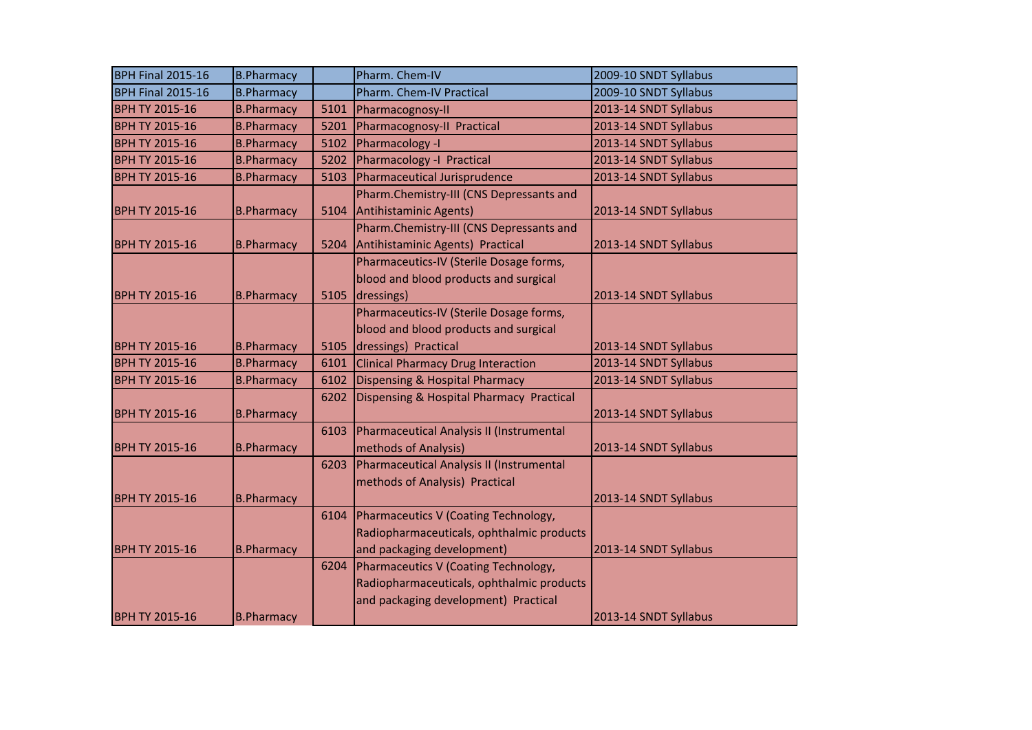| <b>BPH Final 2015-16</b> | <b>B.Pharmacy</b> |      | Pharm. Chem-IV                            | 2009-10 SNDT Syllabus |
|--------------------------|-------------------|------|-------------------------------------------|-----------------------|
| <b>BPH Final 2015-16</b> | <b>B.Pharmacy</b> |      | Pharm. Chem-IV Practical                  | 2009-10 SNDT Syllabus |
| <b>BPH TY 2015-16</b>    | <b>B.Pharmacy</b> | 5101 | Pharmacognosy-II                          | 2013-14 SNDT Syllabus |
| <b>BPH TY 2015-16</b>    | <b>B.Pharmacy</b> | 5201 | Pharmacognosy-II Practical                | 2013-14 SNDT Syllabus |
| <b>BPH TY 2015-16</b>    | <b>B.Pharmacy</b> | 5102 | Pharmacology -I                           | 2013-14 SNDT Syllabus |
| <b>BPH TY 2015-16</b>    | <b>B.Pharmacy</b> | 5202 | Pharmacology -I Practical                 | 2013-14 SNDT Syllabus |
| <b>BPH TY 2015-16</b>    | <b>B.Pharmacy</b> | 5103 | Pharmaceutical Jurisprudence              | 2013-14 SNDT Syllabus |
|                          |                   |      | Pharm.Chemistry-III (CNS Depressants and  |                       |
| <b>BPH TY 2015-16</b>    | <b>B.Pharmacy</b> | 5104 | Antihistaminic Agents)                    | 2013-14 SNDT Syllabus |
|                          |                   |      | Pharm.Chemistry-III (CNS Depressants and  |                       |
| <b>BPH TY 2015-16</b>    | <b>B.Pharmacy</b> | 5204 | Antihistaminic Agents) Practical          | 2013-14 SNDT Syllabus |
|                          |                   |      | Pharmaceutics-IV (Sterile Dosage forms,   |                       |
|                          |                   |      | blood and blood products and surgical     |                       |
| <b>BPH TY 2015-16</b>    | <b>B.Pharmacy</b> | 5105 | dressings)                                | 2013-14 SNDT Syllabus |
|                          |                   |      | Pharmaceutics-IV (Sterile Dosage forms,   |                       |
|                          |                   |      | blood and blood products and surgical     |                       |
| <b>BPH TY 2015-16</b>    | <b>B.Pharmacy</b> | 5105 | dressings) Practical                      | 2013-14 SNDT Syllabus |
| <b>BPH TY 2015-16</b>    | <b>B.Pharmacy</b> | 6101 | <b>Clinical Pharmacy Drug Interaction</b> | 2013-14 SNDT Syllabus |
| <b>BPH TY 2015-16</b>    | <b>B.Pharmacy</b> | 6102 | Dispensing & Hospital Pharmacy            | 2013-14 SNDT Syllabus |
|                          |                   | 6202 | Dispensing & Hospital Pharmacy Practical  |                       |
| <b>BPH TY 2015-16</b>    | <b>B.Pharmacy</b> |      |                                           | 2013-14 SNDT Syllabus |
|                          |                   | 6103 | Pharmaceutical Analysis II (Instrumental  |                       |
| <b>BPH TY 2015-16</b>    | <b>B.Pharmacy</b> |      | methods of Analysis)                      | 2013-14 SNDT Syllabus |
|                          |                   | 6203 | Pharmaceutical Analysis II (Instrumental  |                       |
|                          |                   |      | methods of Analysis) Practical            |                       |
| <b>BPH TY 2015-16</b>    | <b>B.Pharmacy</b> |      |                                           | 2013-14 SNDT Syllabus |
|                          |                   | 6104 | Pharmaceutics V (Coating Technology,      |                       |
|                          |                   |      | Radiopharmaceuticals, ophthalmic products |                       |
| <b>BPH TY 2015-16</b>    | <b>B.Pharmacy</b> |      | and packaging development)                | 2013-14 SNDT Syllabus |
|                          |                   | 6204 | Pharmaceutics V (Coating Technology,      |                       |
|                          |                   |      | Radiopharmaceuticals, ophthalmic products |                       |
|                          |                   |      | and packaging development) Practical      |                       |
| <b>BPH TY 2015-16</b>    | <b>B.Pharmacy</b> |      |                                           | 2013-14 SNDT Syllabus |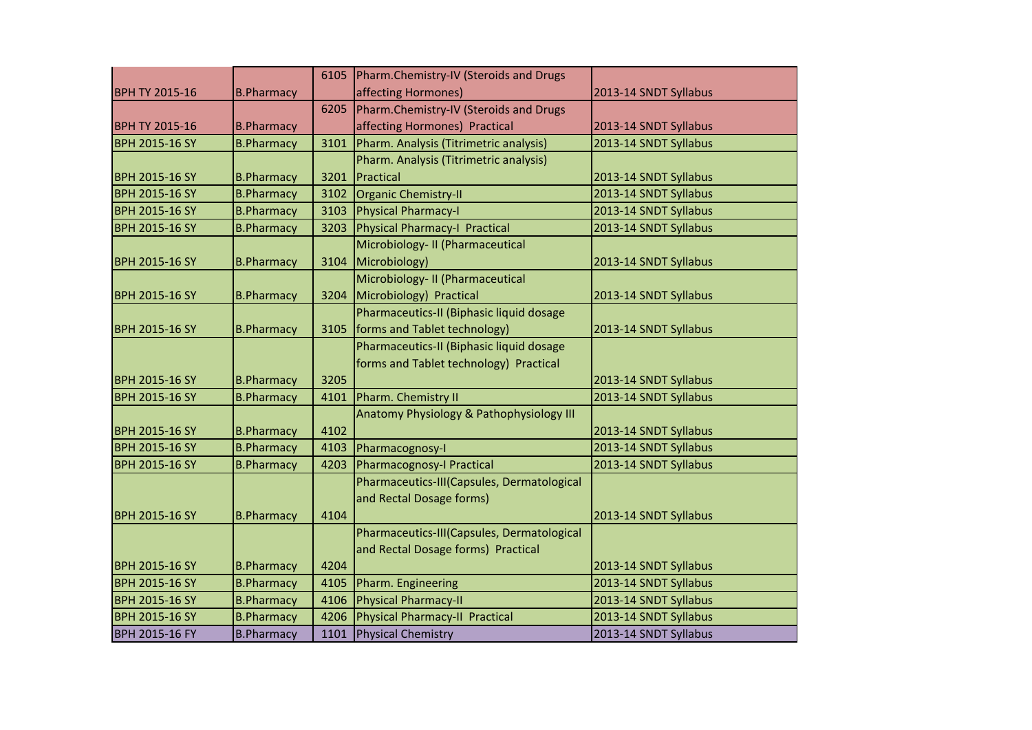|                       |                   | 6105 | Pharm.Chemistry-IV (Steroids and Drugs     |                       |
|-----------------------|-------------------|------|--------------------------------------------|-----------------------|
| <b>BPH TY 2015-16</b> | <b>B.Pharmacy</b> |      | affecting Hormones)                        | 2013-14 SNDT Syllabus |
|                       |                   | 6205 | Pharm.Chemistry-IV (Steroids and Drugs     |                       |
| <b>BPH TY 2015-16</b> | <b>B.Pharmacy</b> |      | affecting Hormones) Practical              | 2013-14 SNDT Syllabus |
| <b>BPH 2015-16 SY</b> | <b>B.Pharmacy</b> | 3101 | Pharm. Analysis (Titrimetric analysis)     | 2013-14 SNDT Syllabus |
|                       |                   |      | Pharm. Analysis (Titrimetric analysis)     |                       |
| <b>BPH 2015-16 SY</b> | <b>B.Pharmacy</b> | 3201 | Practical                                  | 2013-14 SNDT Syllabus |
| <b>BPH 2015-16 SY</b> | <b>B.Pharmacy</b> | 3102 | Organic Chemistry-II                       | 2013-14 SNDT Syllabus |
| <b>BPH 2015-16 SY</b> | <b>B.Pharmacy</b> | 3103 | Physical Pharmacy-I                        | 2013-14 SNDT Syllabus |
| <b>BPH 2015-16 SY</b> | <b>B.Pharmacy</b> | 3203 | Physical Pharmacy-I Practical              | 2013-14 SNDT Syllabus |
|                       |                   |      | Microbiology- II (Pharmaceutical           |                       |
| <b>BPH 2015-16 SY</b> | <b>B.Pharmacy</b> | 3104 | Microbiology)                              | 2013-14 SNDT Syllabus |
|                       |                   |      | Microbiology- II (Pharmaceutical           |                       |
| <b>BPH 2015-16 SY</b> | <b>B.Pharmacy</b> | 3204 | Microbiology) Practical                    | 2013-14 SNDT Syllabus |
|                       |                   |      | Pharmaceutics-II (Biphasic liquid dosage   |                       |
| <b>BPH 2015-16 SY</b> | <b>B.Pharmacy</b> | 3105 | forms and Tablet technology)               | 2013-14 SNDT Syllabus |
|                       |                   |      | Pharmaceutics-II (Biphasic liquid dosage   |                       |
|                       |                   |      | forms and Tablet technology) Practical     |                       |
| <b>BPH 2015-16 SY</b> | <b>B.Pharmacy</b> | 3205 |                                            | 2013-14 SNDT Syllabus |
| <b>BPH 2015-16 SY</b> | <b>B.Pharmacy</b> | 4101 | Pharm. Chemistry II                        | 2013-14 SNDT Syllabus |
|                       |                   |      | Anatomy Physiology & Pathophysiology III   |                       |
| <b>BPH 2015-16 SY</b> | <b>B.Pharmacy</b> | 4102 |                                            | 2013-14 SNDT Syllabus |
| <b>BPH 2015-16 SY</b> | <b>B.Pharmacy</b> | 4103 | Pharmacognosy-I                            | 2013-14 SNDT Syllabus |
| <b>BPH 2015-16 SY</b> | <b>B.Pharmacy</b> | 4203 | Pharmacognosy-I Practical                  | 2013-14 SNDT Syllabus |
|                       |                   |      | Pharmaceutics-III(Capsules, Dermatological |                       |
|                       |                   |      | and Rectal Dosage forms)                   |                       |
| <b>BPH 2015-16 SY</b> | <b>B.Pharmacy</b> | 4104 |                                            | 2013-14 SNDT Syllabus |
|                       |                   |      | Pharmaceutics-III(Capsules, Dermatological |                       |
|                       |                   |      | and Rectal Dosage forms) Practical         |                       |
| <b>BPH 2015-16 SY</b> | <b>B.Pharmacy</b> | 4204 |                                            | 2013-14 SNDT Syllabus |
| <b>BPH 2015-16 SY</b> | <b>B.Pharmacy</b> | 4105 | Pharm. Engineering                         | 2013-14 SNDT Syllabus |
| <b>BPH 2015-16 SY</b> | <b>B.Pharmacy</b> | 4106 | Physical Pharmacy-II                       | 2013-14 SNDT Syllabus |
| <b>BPH 2015-16 SY</b> | <b>B.Pharmacy</b> | 4206 | Physical Pharmacy-II Practical             | 2013-14 SNDT Syllabus |
| <b>BPH 2015-16 FY</b> | <b>B.Pharmacy</b> | 1101 | Physical Chemistry                         | 2013-14 SNDT Syllabus |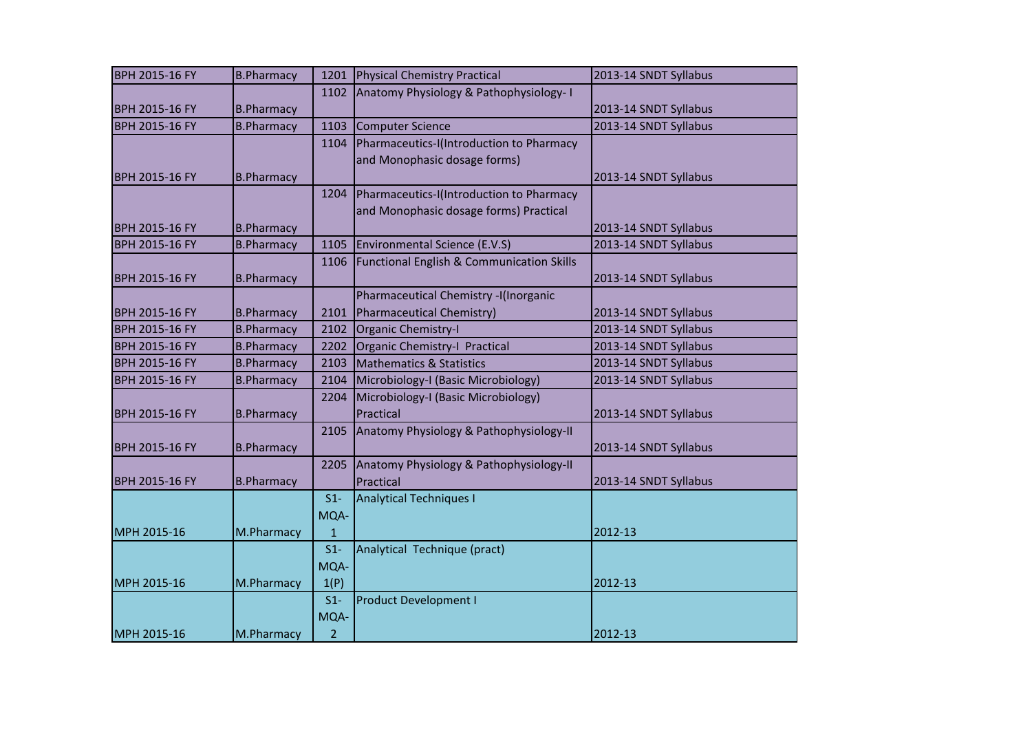| <b>BPH 2015-16 FY</b> | <b>B.Pharmacy</b> | 1201           | Physical Chemistry Practical              | 2013-14 SNDT Syllabus |
|-----------------------|-------------------|----------------|-------------------------------------------|-----------------------|
|                       |                   | 1102           | Anatomy Physiology & Pathophysiology-1    |                       |
| <b>BPH 2015-16 FY</b> | <b>B.Pharmacy</b> |                |                                           | 2013-14 SNDT Syllabus |
| <b>BPH 2015-16 FY</b> | <b>B.Pharmacy</b> | 1103           | <b>Computer Science</b>                   | 2013-14 SNDT Syllabus |
|                       |                   | 1104           | Pharmaceutics-I(Introduction to Pharmacy  |                       |
|                       |                   |                | and Monophasic dosage forms)              |                       |
| <b>BPH 2015-16 FY</b> | <b>B.Pharmacy</b> |                |                                           | 2013-14 SNDT Syllabus |
|                       |                   | 1204           | Pharmaceutics-I(Introduction to Pharmacy  |                       |
|                       |                   |                | and Monophasic dosage forms) Practical    |                       |
| <b>BPH 2015-16 FY</b> | <b>B.Pharmacy</b> |                |                                           | 2013-14 SNDT Syllabus |
| <b>BPH 2015-16 FY</b> | <b>B.Pharmacy</b> | 1105           | Environmental Science (E.V.S)             | 2013-14 SNDT Syllabus |
|                       |                   | 1106           | Functional English & Communication Skills |                       |
| <b>BPH 2015-16 FY</b> | <b>B.Pharmacy</b> |                |                                           | 2013-14 SNDT Syllabus |
|                       |                   |                | Pharmaceutical Chemistry -I(Inorganic     |                       |
| <b>BPH 2015-16 FY</b> | <b>B.Pharmacy</b> | 2101           | Pharmaceutical Chemistry)                 | 2013-14 SNDT Syllabus |
| <b>BPH 2015-16 FY</b> | <b>B.Pharmacy</b> | 2102           | Organic Chemistry-I                       | 2013-14 SNDT Syllabus |
| <b>BPH 2015-16 FY</b> | <b>B.Pharmacy</b> | 2202           | Organic Chemistry-I Practical             | 2013-14 SNDT Syllabus |
| <b>BPH 2015-16 FY</b> | <b>B.Pharmacy</b> | 2103           | <b>Mathematics &amp; Statistics</b>       | 2013-14 SNDT Syllabus |
| <b>BPH 2015-16 FY</b> | <b>B.Pharmacy</b> | 2104           | Microbiology-I (Basic Microbiology)       | 2013-14 SNDT Syllabus |
|                       |                   | 2204           | Microbiology-I (Basic Microbiology)       |                       |
| <b>BPH 2015-16 FY</b> | <b>B.Pharmacy</b> |                | Practical                                 | 2013-14 SNDT Syllabus |
|                       |                   | 2105           | Anatomy Physiology & Pathophysiology-II   |                       |
| BPH 2015-16 FY        | <b>B.Pharmacy</b> |                |                                           | 2013-14 SNDT Syllabus |
|                       |                   | 2205           | Anatomy Physiology & Pathophysiology-II   |                       |
| <b>BPH 2015-16 FY</b> | <b>B.Pharmacy</b> |                | Practical                                 | 2013-14 SNDT Syllabus |
|                       |                   | $S1-$          | <b>Analytical Techniques I</b>            |                       |
|                       |                   | MQA-           |                                           |                       |
| MPH 2015-16           | M.Pharmacy        | $\mathbf{1}$   |                                           | 2012-13               |
|                       |                   | $S1-$          | Analytical Technique (pract)              |                       |
|                       |                   | MQA-           |                                           |                       |
| MPH 2015-16           | M.Pharmacy        | 1(P)           |                                           | 2012-13               |
|                       |                   | $S1-$          | <b>Product Development I</b>              |                       |
|                       |                   | MQA-           |                                           |                       |
| MPH 2015-16           | M.Pharmacy        | $\overline{2}$ |                                           | 2012-13               |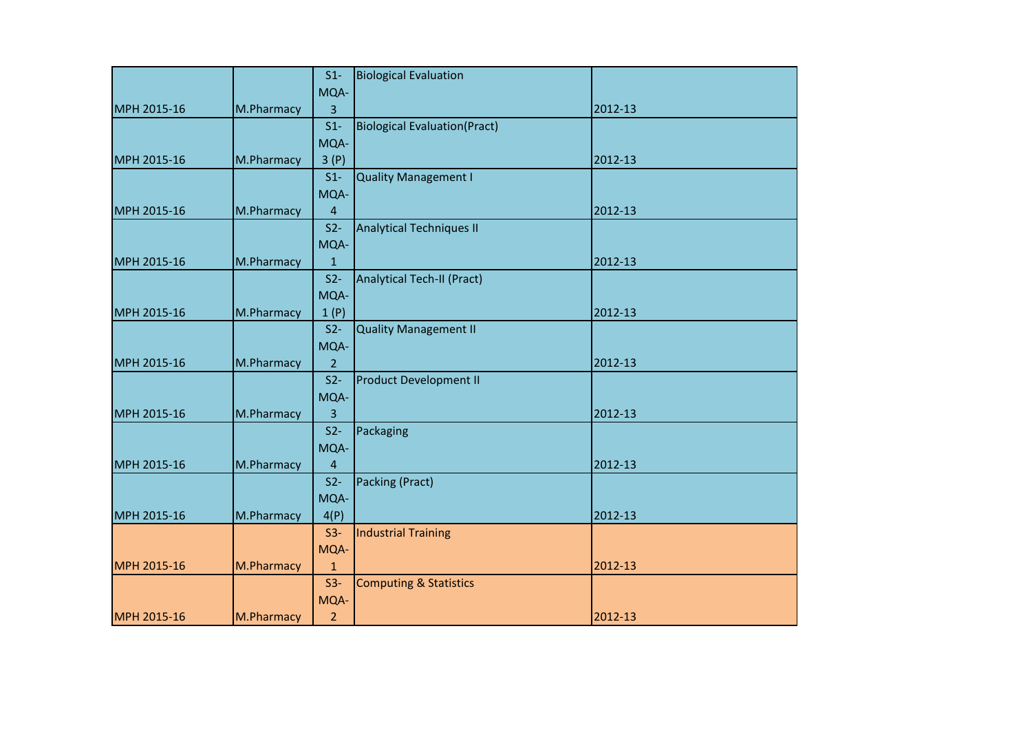|             |            | $S1-$          | <b>Biological Evaluation</b>         |         |
|-------------|------------|----------------|--------------------------------------|---------|
|             |            | MQA-           |                                      |         |
| MPH 2015-16 | M.Pharmacy | 3              |                                      | 2012-13 |
|             |            | $S1-$          | <b>Biological Evaluation (Pract)</b> |         |
|             |            | MQA-           |                                      |         |
| MPH 2015-16 | M.Pharmacy | 3(P)           |                                      | 2012-13 |
|             |            | $S1-$          | <b>Quality Management I</b>          |         |
|             |            | MQA-           |                                      |         |
| MPH 2015-16 | M.Pharmacy | $\overline{4}$ |                                      | 2012-13 |
|             |            | $S2-$          | <b>Analytical Techniques II</b>      |         |
|             |            | MQA-           |                                      |         |
| MPH 2015-16 | M.Pharmacy | $\mathbf{1}$   |                                      | 2012-13 |
|             |            | $S2-$          | <b>Analytical Tech-II (Pract)</b>    |         |
|             |            | MQA-           |                                      |         |
| MPH 2015-16 | M.Pharmacy | 1(P)           |                                      | 2012-13 |
|             |            | $S2-$          | <b>Quality Management II</b>         |         |
|             |            | MQA-           |                                      |         |
| MPH 2015-16 | M.Pharmacy | $\overline{2}$ |                                      | 2012-13 |
|             |            | $S2-$          | <b>Product Development II</b>        |         |
|             |            | MQA-           |                                      |         |
| MPH 2015-16 | M.Pharmacy | 3              |                                      | 2012-13 |
|             |            | $S2-$          | Packaging                            |         |
|             |            | MQA-           |                                      |         |
| MPH 2015-16 | M.Pharmacy | 4              |                                      | 2012-13 |
|             |            | $S2-$          | Packing (Pract)                      |         |
|             |            | MQA-           |                                      |         |
| MPH 2015-16 | M.Pharmacy | 4(P)           |                                      | 2012-13 |
|             |            | $S3-$          | <b>Industrial Training</b>           |         |
|             |            | MQA-           |                                      |         |
| MPH 2015-16 | M.Pharmacy | $\mathbf{1}$   |                                      | 2012-13 |
|             |            | $S3-$          | <b>Computing &amp; Statistics</b>    |         |
|             |            | MQA-           |                                      |         |
| MPH 2015-16 | M.Pharmacy | $\overline{2}$ |                                      | 2012-13 |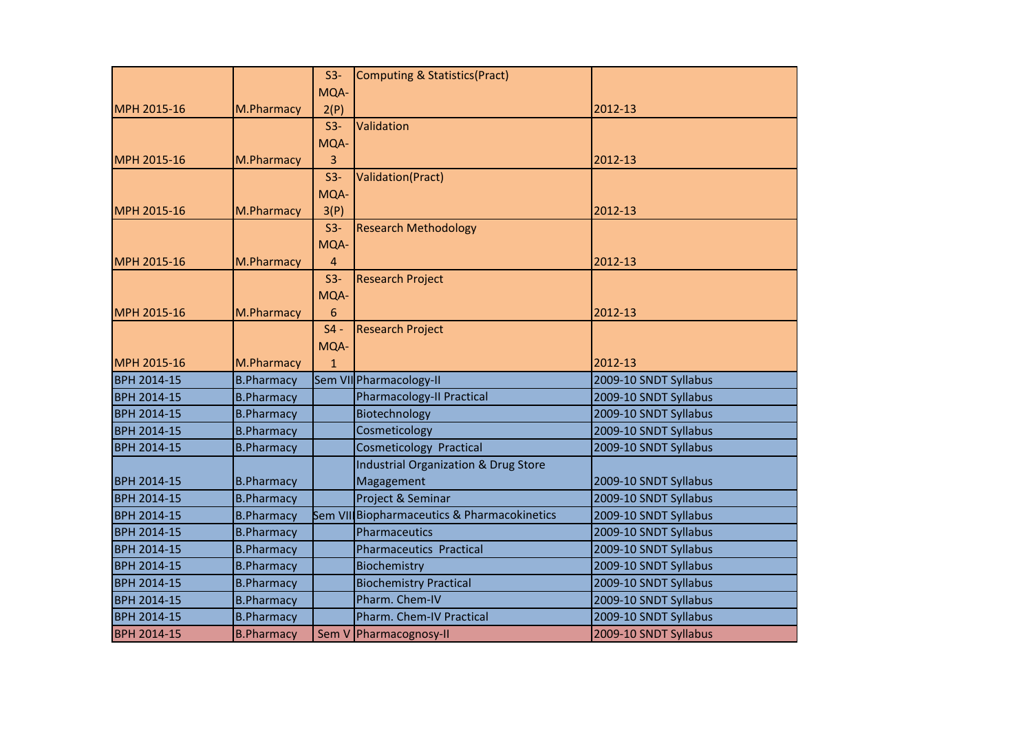|                    |                   | $S3-$        | Computing & Statistics(Pract)                   |                       |
|--------------------|-------------------|--------------|-------------------------------------------------|-----------------------|
|                    |                   | MQA-         |                                                 |                       |
| MPH 2015-16        | M.Pharmacy        | 2(P)         |                                                 | 2012-13               |
|                    |                   | $S3-$        | Validation                                      |                       |
|                    |                   | MQA-         |                                                 |                       |
| MPH 2015-16        | M.Pharmacy        | 3            |                                                 | 2012-13               |
|                    |                   | $S3-$        | Validation(Pract)                               |                       |
|                    |                   | MQA-         |                                                 |                       |
| MPH 2015-16        | M.Pharmacy        | 3(P)         |                                                 | 2012-13               |
|                    |                   | $S3-$        | <b>Research Methodology</b>                     |                       |
|                    |                   | MQA-         |                                                 |                       |
| MPH 2015-16        | M.Pharmacy        | 4            |                                                 | 2012-13               |
|                    |                   | $S3-$        | <b>Research Project</b>                         |                       |
|                    |                   | MQA-         |                                                 |                       |
| MPH 2015-16        | M.Pharmacy        | 6            |                                                 | 2012-13               |
|                    |                   | $S4 -$       | <b>Research Project</b>                         |                       |
|                    |                   | MQA-         |                                                 |                       |
| MPH 2015-16        | M.Pharmacy        | $\mathbf{1}$ |                                                 | 2012-13               |
| <b>BPH 2014-15</b> | <b>B.Pharmacy</b> |              | Sem VII Pharmacology-II                         | 2009-10 SNDT Syllabus |
| <b>BPH 2014-15</b> | <b>B.Pharmacy</b> |              | <b>Pharmacology-II Practical</b>                | 2009-10 SNDT Syllabus |
| BPH 2014-15        | <b>B.Pharmacy</b> |              | Biotechnology                                   | 2009-10 SNDT Syllabus |
| <b>BPH 2014-15</b> | <b>B.Pharmacy</b> |              | Cosmeticology                                   | 2009-10 SNDT Syllabus |
| <b>BPH 2014-15</b> | <b>B.Pharmacy</b> |              | <b>Cosmeticology Practical</b>                  | 2009-10 SNDT Syllabus |
|                    |                   |              | <b>Industrial Organization &amp; Drug Store</b> |                       |
| <b>BPH 2014-15</b> | <b>B.Pharmacy</b> |              | Magagement                                      | 2009-10 SNDT Syllabus |
| <b>BPH 2014-15</b> | <b>B.Pharmacy</b> |              | Project & Seminar                               | 2009-10 SNDT Syllabus |
| <b>BPH 2014-15</b> | <b>B.Pharmacy</b> |              | Sem VII Biopharmaceutics & Pharmacokinetics     | 2009-10 SNDT Syllabus |
| <b>BPH 2014-15</b> | <b>B.Pharmacy</b> |              | Pharmaceutics                                   | 2009-10 SNDT Syllabus |
| <b>BPH 2014-15</b> | <b>B.Pharmacy</b> |              | <b>Pharmaceutics Practical</b>                  | 2009-10 SNDT Syllabus |
| BPH 2014-15        | <b>B.Pharmacy</b> |              | Biochemistry                                    | 2009-10 SNDT Syllabus |
| <b>BPH 2014-15</b> | <b>B.Pharmacy</b> |              | <b>Biochemistry Practical</b>                   | 2009-10 SNDT Syllabus |
| <b>BPH 2014-15</b> | <b>B.Pharmacy</b> |              | Pharm. Chem-IV                                  | 2009-10 SNDT Syllabus |
| <b>BPH 2014-15</b> | <b>B.Pharmacy</b> |              | Pharm. Chem-IV Practical                        | 2009-10 SNDT Syllabus |
| <b>BPH 2014-15</b> | <b>B.Pharmacy</b> |              | Sem V Pharmacognosy-II                          | 2009-10 SNDT Syllabus |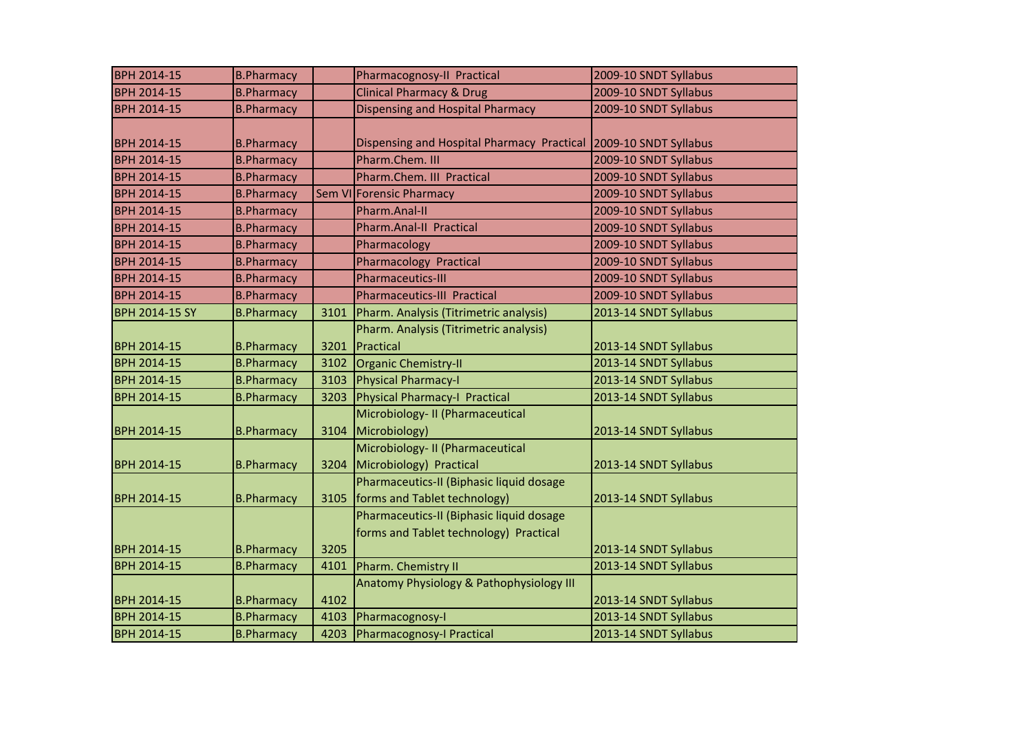| <b>BPH 2014-15</b> | <b>B.Pharmacy</b> |      | Pharmacognosy-II Practical                 | 2009-10 SNDT Syllabus |
|--------------------|-------------------|------|--------------------------------------------|-----------------------|
| BPH 2014-15        | <b>B.Pharmacy</b> |      | <b>Clinical Pharmacy &amp; Drug</b>        | 2009-10 SNDT Syllabus |
| BPH 2014-15        | <b>B.Pharmacy</b> |      | <b>Dispensing and Hospital Pharmacy</b>    | 2009-10 SNDT Syllabus |
|                    |                   |      |                                            |                       |
| BPH 2014-15        | <b>B.Pharmacy</b> |      | Dispensing and Hospital Pharmacy Practical | 2009-10 SNDT Syllabus |
| BPH 2014-15        | <b>B.Pharmacy</b> |      | Pharm.Chem. III                            | 2009-10 SNDT Syllabus |
| BPH 2014-15        | <b>B.Pharmacy</b> |      | Pharm.Chem. III Practical                  | 2009-10 SNDT Syllabus |
| BPH 2014-15        | <b>B.Pharmacy</b> |      | Sem VI Forensic Pharmacy                   | 2009-10 SNDT Syllabus |
| BPH 2014-15        | <b>B.Pharmacy</b> |      | Pharm.Anal-II                              | 2009-10 SNDT Syllabus |
| BPH 2014-15        | <b>B.Pharmacy</b> |      | Pharm.Anal-II Practical                    | 2009-10 SNDT Syllabus |
| BPH 2014-15        | <b>B.Pharmacy</b> |      | Pharmacology                               | 2009-10 SNDT Syllabus |
| BPH 2014-15        | <b>B.Pharmacy</b> |      | <b>Pharmacology Practical</b>              | 2009-10 SNDT Syllabus |
| BPH 2014-15        | <b>B.Pharmacy</b> |      | <b>Pharmaceutics-III</b>                   | 2009-10 SNDT Syllabus |
| BPH 2014-15        | <b>B.Pharmacy</b> |      | <b>Pharmaceutics-III Practical</b>         | 2009-10 SNDT Syllabus |
| BPH 2014-15 SY     | <b>B.Pharmacy</b> | 3101 | Pharm. Analysis (Titrimetric analysis)     | 2013-14 SNDT Syllabus |
|                    |                   |      | Pharm. Analysis (Titrimetric analysis)     |                       |
| <b>BPH 2014-15</b> | <b>B.Pharmacy</b> | 3201 | Practical                                  | 2013-14 SNDT Syllabus |
| BPH 2014-15        | <b>B.Pharmacy</b> | 3102 | Organic Chemistry-II                       | 2013-14 SNDT Syllabus |
| BPH 2014-15        | <b>B.Pharmacy</b> | 3103 | <b>Physical Pharmacy-I</b>                 | 2013-14 SNDT Syllabus |
| BPH 2014-15        | <b>B.Pharmacy</b> | 3203 | Physical Pharmacy-I Practical              | 2013-14 SNDT Syllabus |
|                    |                   |      | Microbiology- II (Pharmaceutical           |                       |
| <b>BPH 2014-15</b> | <b>B.Pharmacy</b> | 3104 | Microbiology)                              | 2013-14 SNDT Syllabus |
|                    |                   |      | Microbiology- II (Pharmaceutical           |                       |
| BPH 2014-15        | <b>B.Pharmacy</b> | 3204 | Microbiology) Practical                    | 2013-14 SNDT Syllabus |
|                    |                   |      | Pharmaceutics-II (Biphasic liquid dosage   |                       |
| BPH 2014-15        | <b>B.Pharmacy</b> | 3105 | forms and Tablet technology)               | 2013-14 SNDT Syllabus |
|                    |                   |      | Pharmaceutics-II (Biphasic liquid dosage   |                       |
|                    |                   |      | forms and Tablet technology) Practical     |                       |
| BPH 2014-15        | <b>B.Pharmacy</b> | 3205 |                                            | 2013-14 SNDT Syllabus |
| <b>BPH 2014-15</b> | <b>B.Pharmacy</b> | 4101 | Pharm. Chemistry II                        | 2013-14 SNDT Syllabus |
|                    |                   |      | Anatomy Physiology & Pathophysiology III   |                       |
| <b>BPH 2014-15</b> | <b>B.Pharmacy</b> | 4102 |                                            | 2013-14 SNDT Syllabus |
| BPH 2014-15        | <b>B.Pharmacy</b> | 4103 | Pharmacognosy-I                            | 2013-14 SNDT Syllabus |
| BPH 2014-15        | <b>B.Pharmacy</b> | 4203 | Pharmacognosy-I Practical                  | 2013-14 SNDT Syllabus |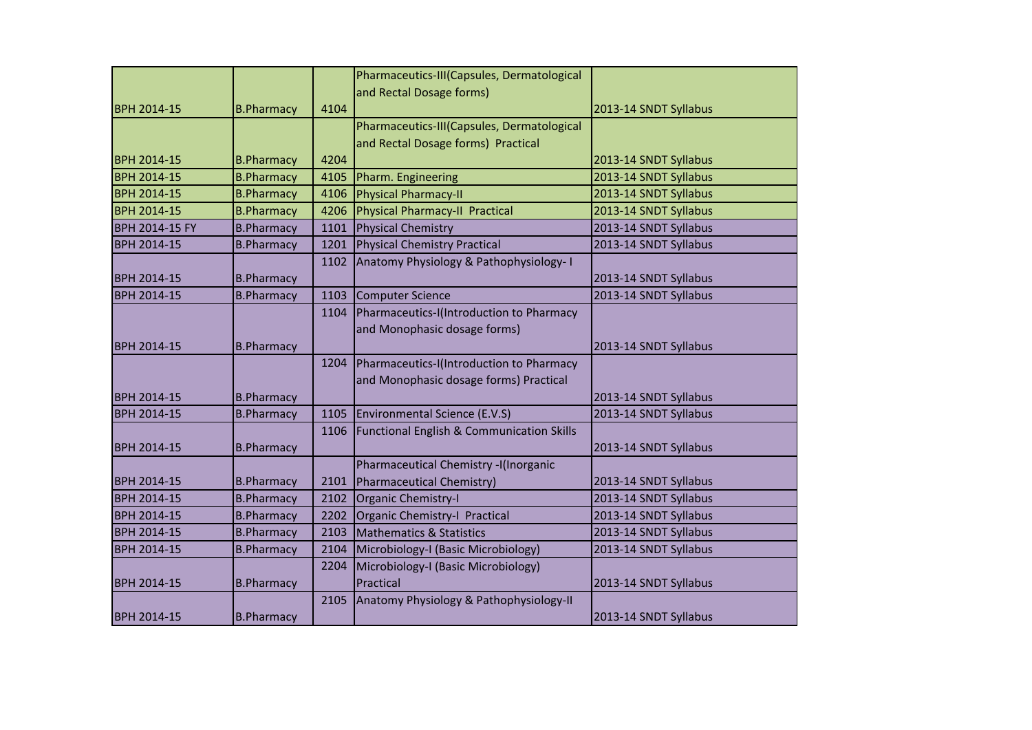|                       |                   |      | Pharmaceutics-III(Capsules, Dermatological           |                       |
|-----------------------|-------------------|------|------------------------------------------------------|-----------------------|
|                       |                   |      | and Rectal Dosage forms)                             |                       |
| <b>BPH 2014-15</b>    | <b>B.Pharmacy</b> | 4104 |                                                      | 2013-14 SNDT Syllabus |
|                       |                   |      | Pharmaceutics-III(Capsules, Dermatological           |                       |
|                       |                   |      | and Rectal Dosage forms) Practical                   |                       |
| <b>BPH 2014-15</b>    | <b>B.Pharmacy</b> | 4204 |                                                      | 2013-14 SNDT Syllabus |
| <b>BPH 2014-15</b>    | <b>B.Pharmacy</b> | 4105 | Pharm. Engineering                                   | 2013-14 SNDT Syllabus |
| BPH 2014-15           | <b>B.Pharmacy</b> | 4106 | <b>Physical Pharmacy-II</b>                          | 2013-14 SNDT Syllabus |
| <b>BPH 2014-15</b>    | <b>B.Pharmacy</b> | 4206 | Physical Pharmacy-II Practical                       | 2013-14 SNDT Syllabus |
| <b>BPH 2014-15 FY</b> | <b>B.Pharmacy</b> | 1101 | Physical Chemistry                                   | 2013-14 SNDT Syllabus |
| <b>BPH 2014-15</b>    | <b>B.Pharmacy</b> | 1201 | Physical Chemistry Practical                         | 2013-14 SNDT Syllabus |
|                       |                   | 1102 | Anatomy Physiology & Pathophysiology-I               |                       |
| BPH 2014-15           | <b>B.Pharmacy</b> |      |                                                      | 2013-14 SNDT Syllabus |
| <b>BPH 2014-15</b>    | <b>B.Pharmacy</b> | 1103 | Computer Science                                     | 2013-14 SNDT Syllabus |
|                       |                   | 1104 | Pharmaceutics-I(Introduction to Pharmacy             |                       |
|                       |                   |      | and Monophasic dosage forms)                         |                       |
| <b>BPH 2014-15</b>    | <b>B.Pharmacy</b> |      |                                                      | 2013-14 SNDT Syllabus |
|                       |                   | 1204 | Pharmaceutics-I(Introduction to Pharmacy             |                       |
|                       |                   |      | and Monophasic dosage forms) Practical               |                       |
| <b>BPH 2014-15</b>    | <b>B.Pharmacy</b> |      |                                                      | 2013-14 SNDT Syllabus |
| <b>BPH 2014-15</b>    | <b>B.Pharmacy</b> | 1105 | Environmental Science (E.V.S)                        | 2013-14 SNDT Syllabus |
|                       |                   | 1106 | <b>Functional English &amp; Communication Skills</b> |                       |
| <b>BPH 2014-15</b>    | <b>B.Pharmacy</b> |      |                                                      | 2013-14 SNDT Syllabus |
|                       |                   |      | Pharmaceutical Chemistry -I(Inorganic                |                       |
| <b>BPH 2014-15</b>    | <b>B.Pharmacy</b> | 2101 | Pharmaceutical Chemistry)                            | 2013-14 SNDT Syllabus |
| <b>BPH 2014-15</b>    | <b>B.Pharmacy</b> | 2102 | Organic Chemistry-I                                  | 2013-14 SNDT Syllabus |
| BPH 2014-15           | <b>B.Pharmacy</b> | 2202 | Organic Chemistry-I Practical                        | 2013-14 SNDT Syllabus |
| <b>BPH 2014-15</b>    | <b>B.Pharmacy</b> | 2103 | <b>Mathematics &amp; Statistics</b>                  | 2013-14 SNDT Syllabus |
| <b>BPH 2014-15</b>    | <b>B.Pharmacy</b> | 2104 | Microbiology-I (Basic Microbiology)                  | 2013-14 SNDT Syllabus |
|                       |                   | 2204 | Microbiology-I (Basic Microbiology)                  |                       |
| <b>BPH 2014-15</b>    | <b>B.Pharmacy</b> |      | Practical                                            | 2013-14 SNDT Syllabus |
|                       |                   | 2105 | Anatomy Physiology & Pathophysiology-II              |                       |
| <b>BPH 2014-15</b>    | <b>B.Pharmacy</b> |      |                                                      | 2013-14 SNDT Syllabus |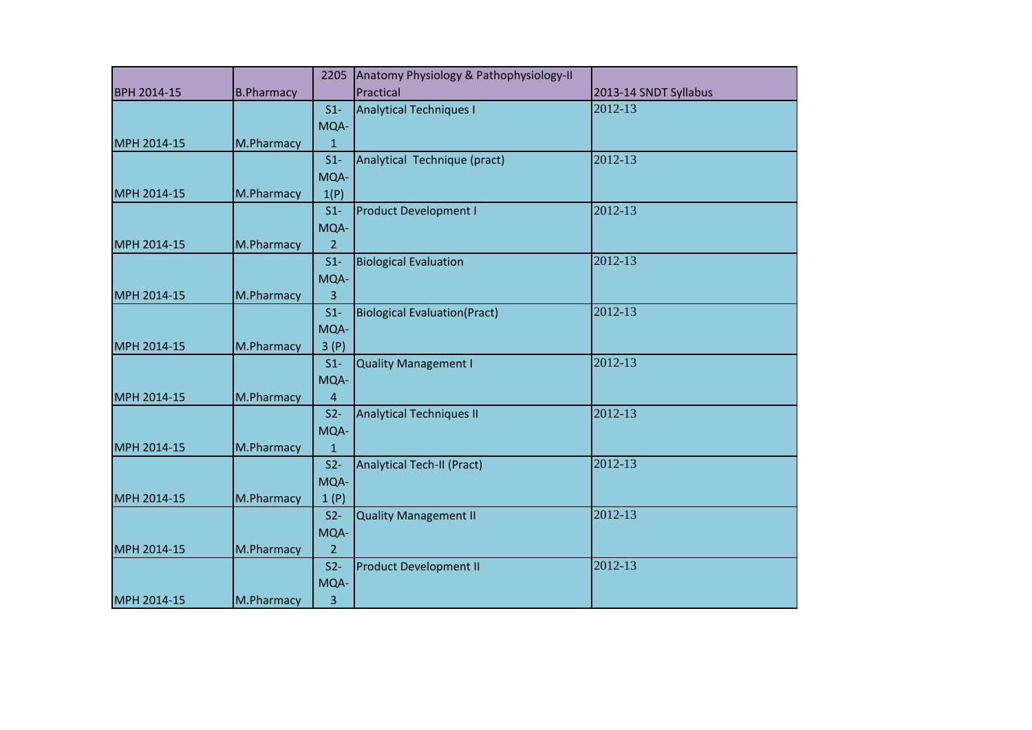|                    |                   | 2205           | Anatomy Physiology & Pathophysiology-II |                       |
|--------------------|-------------------|----------------|-----------------------------------------|-----------------------|
| <b>BPH 2014-15</b> | <b>B.Pharmacy</b> |                | Practical                               | 2013-14 SNDT Syllabus |
|                    |                   | $S1-$          | <b>Analytical Techniques I</b>          | 2012-13               |
|                    |                   | MQA-           |                                         |                       |
| MPH 2014-15        | M.Pharmacy        | $\mathbf 1$    |                                         |                       |
|                    |                   | $S1-$          | Analytical Technique (pract)            | 2012-13               |
|                    |                   | MQA-           |                                         |                       |
| MPH 2014-15        | M.Pharmacy        | 1(P)           |                                         |                       |
|                    |                   | $S1-$          | <b>Product Development I</b>            | 2012-13               |
|                    |                   | MQA-           |                                         |                       |
| MPH 2014-15        | M.Pharmacy        | $\overline{2}$ |                                         |                       |
|                    |                   | $S1-$          | <b>Biological Evaluation</b>            | 2012-13               |
|                    |                   | MQA-           |                                         |                       |
| MPH 2014-15        | M.Pharmacy        | 3              |                                         |                       |
|                    |                   | $S1-$          | <b>Biological Evaluation (Pract)</b>    | 2012-13               |
|                    |                   | MQA-           |                                         |                       |
| MPH 2014-15        | M.Pharmacy        | 3(P)           |                                         |                       |
|                    |                   | $S1-$          | <b>Quality Management I</b>             | 2012-13               |
|                    |                   | MQA-           |                                         |                       |
| MPH 2014-15        | M.Pharmacy        | $\overline{4}$ |                                         |                       |
|                    |                   | $S2-$          | <b>Analytical Techniques II</b>         | 2012-13               |
|                    |                   | MQA-           |                                         |                       |
| MPH 2014-15        | M.Pharmacy        | $\mathbf{1}$   |                                         |                       |
|                    |                   | $S2-$          | Analytical Tech-II (Pract)              | 2012-13               |
|                    |                   | MQA-           |                                         |                       |
| MPH 2014-15        | M.Pharmacy        | 1(P)           |                                         |                       |
|                    |                   | $S2-$          | <b>Quality Management II</b>            | 2012-13               |
|                    |                   | MQA-           |                                         |                       |
| MPH 2014-15        | M.Pharmacy        | $\overline{2}$ |                                         |                       |
|                    |                   | $S2-$          | <b>Product Development II</b>           | 2012-13               |
|                    |                   | MQA-           |                                         |                       |
| MPH 2014-15        | M.Pharmacy        | 3              |                                         |                       |